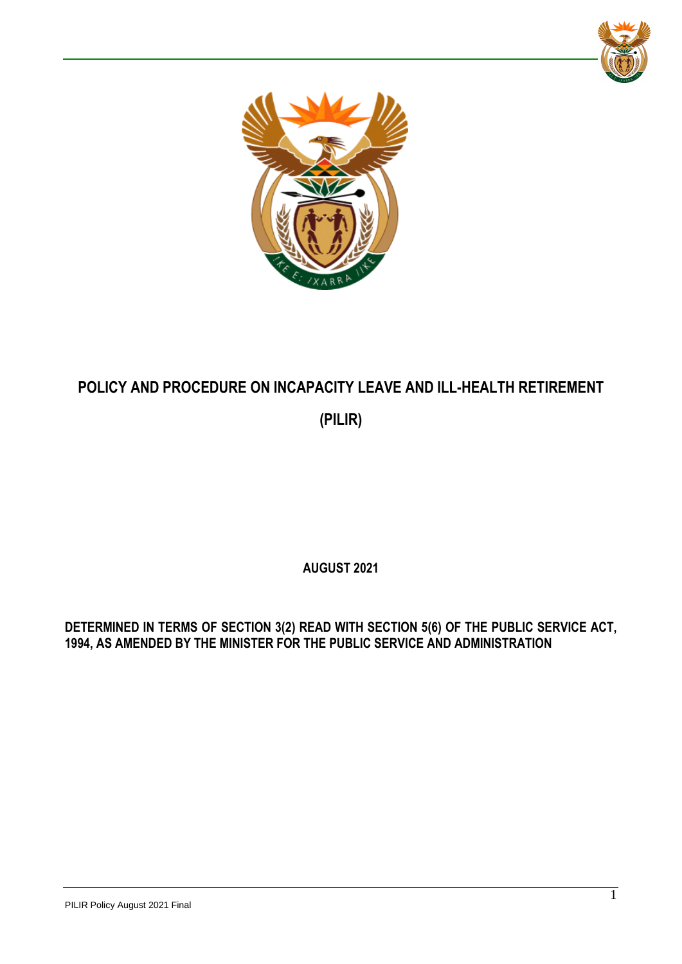



# **POLICY AND PROCEDURE ON INCAPACITY LEAVE AND ILL-HEALTH RETIREMENT (PILIR)**

**AUGUST 2021**

**DETERMINED IN TERMS OF SECTION 3(2) READ WITH SECTION 5(6) OF THE PUBLIC SERVICE ACT, 1994, AS AMENDED BY THE MINISTER FOR THE PUBLIC SERVICE AND ADMINISTRATION**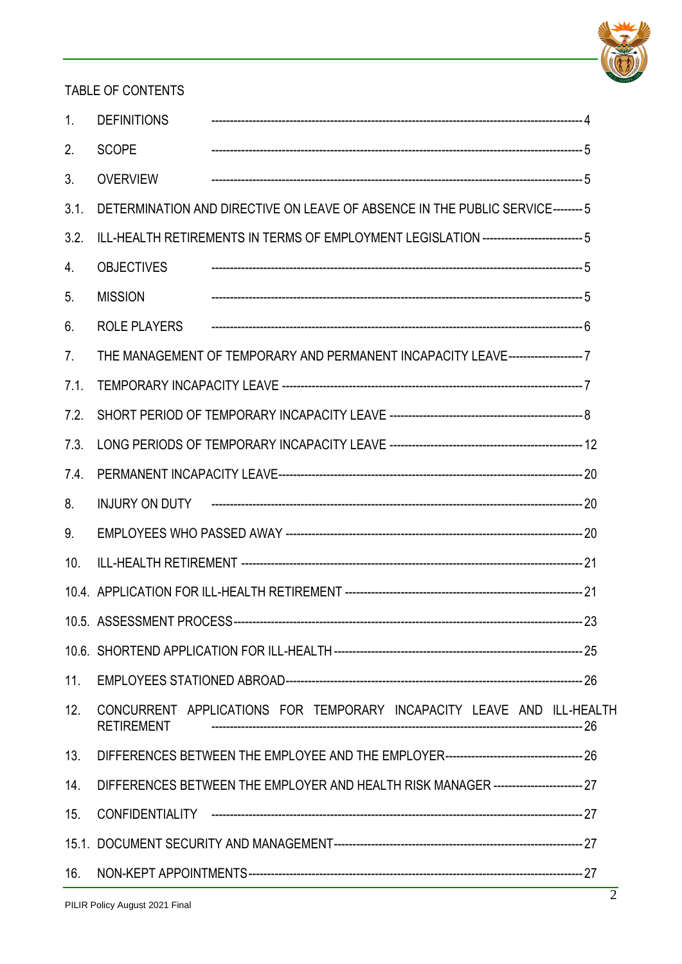

## TABLE OF CONTENTS

| 1 <sub>1</sub> | <b>DEFINITIONS</b>                                                                         |  |  |  |
|----------------|--------------------------------------------------------------------------------------------|--|--|--|
| 2.             | <b>SCOPE</b>                                                                               |  |  |  |
| 3 <sub>1</sub> | <b>OVERVIEW</b>                                                                            |  |  |  |
| 3.1.           | DETERMINATION AND DIRECTIVE ON LEAVE OF ABSENCE IN THE PUBLIC SERVICE---------5            |  |  |  |
| 3.2.           | ILL-HEALTH RETIREMENTS IN TERMS OF EMPLOYMENT LEGISLATION -------------------------- 5     |  |  |  |
| 4.             | <b>OBJECTIVES</b>                                                                          |  |  |  |
| 5 <sub>1</sub> | <b>MISSION</b>                                                                             |  |  |  |
| 6.             | <b>ROLE PLAYERS</b>                                                                        |  |  |  |
| 7 <sub>1</sub> | THE MANAGEMENT OF TEMPORARY AND PERMANENT INCAPACITY LEAVE--------------------7            |  |  |  |
| 7.1.           |                                                                                            |  |  |  |
| 7.2.           |                                                                                            |  |  |  |
| 7.3.           |                                                                                            |  |  |  |
| 7.4.           |                                                                                            |  |  |  |
| 8.             |                                                                                            |  |  |  |
| 9 <sub>1</sub> |                                                                                            |  |  |  |
| 10.            |                                                                                            |  |  |  |
|                |                                                                                            |  |  |  |
|                |                                                                                            |  |  |  |
|                |                                                                                            |  |  |  |
| 11.            |                                                                                            |  |  |  |
| 12.            | CONCURRENT APPLICATIONS FOR TEMPORARY INCAPACITY LEAVE AND ILL-HEALTH<br><b>RETIREMENT</b> |  |  |  |
| 13.            |                                                                                            |  |  |  |
| 14.            | DIFFERENCES BETWEEN THE EMPLOYER AND HEALTH RISK MANAGER ------------------------ 27       |  |  |  |
| 15.            |                                                                                            |  |  |  |
|                |                                                                                            |  |  |  |
| 16.            |                                                                                            |  |  |  |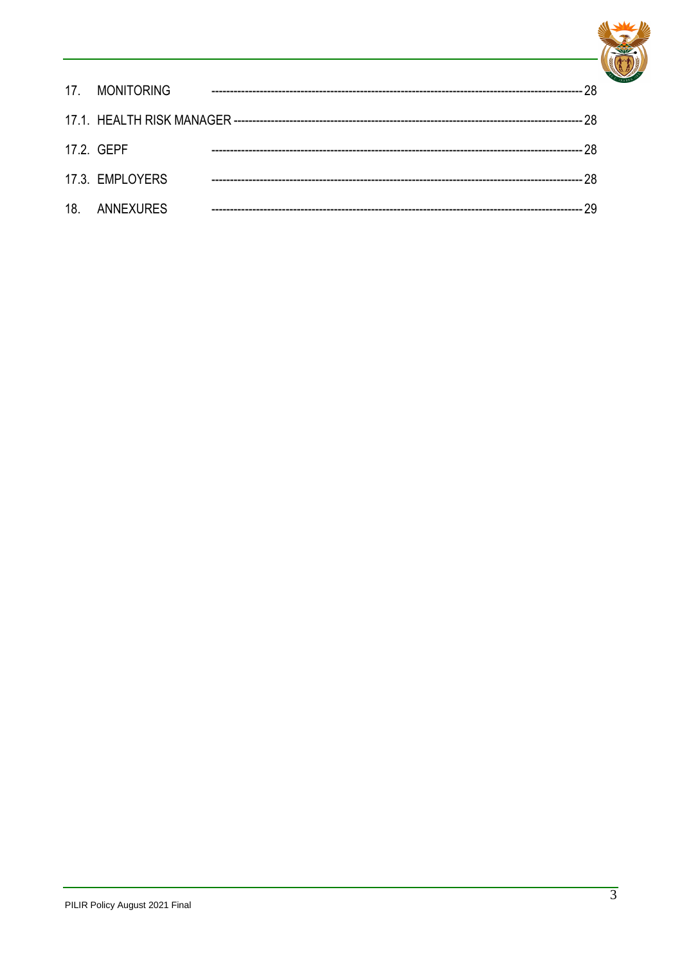

| 17. MONITORING  |  |
|-----------------|--|
|                 |  |
| 17.2. GEPF      |  |
| 17.3. EMPLOYERS |  |
| 18. ANNEXURES   |  |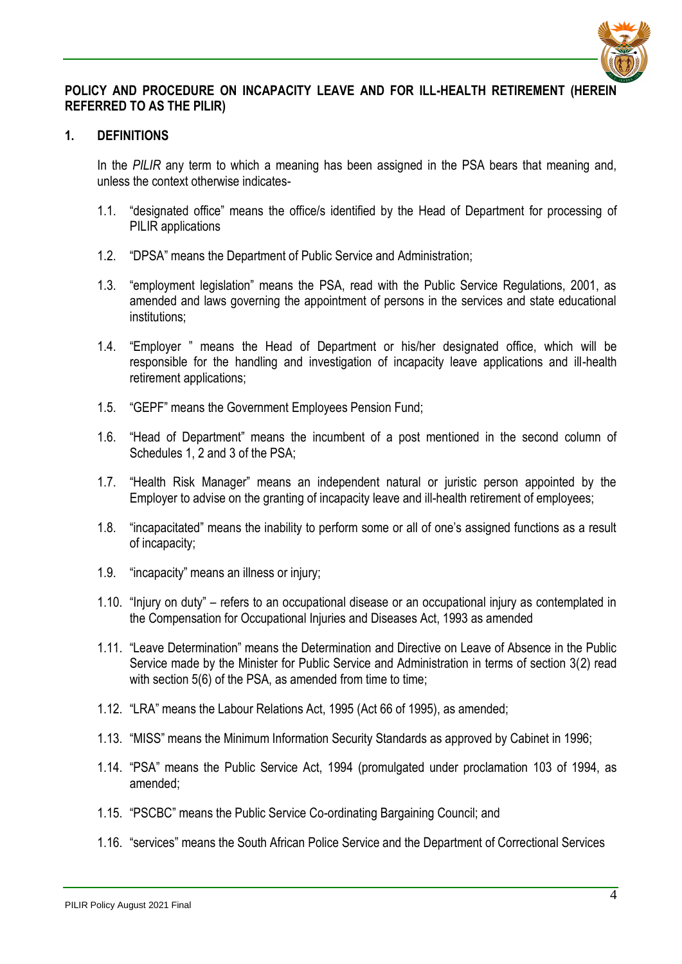

#### **POLICY AND PROCEDURE ON INCAPACITY LEAVE AND FOR ILL-HEALTH RETIREMENT (HEREIN REFERRED TO AS THE PILIR)**

#### <span id="page-3-0"></span>**1. DEFINITIONS**

In the *PILIR* any term to which a meaning has been assigned in the PSA bears that meaning and, unless the context otherwise indicates-

- 1.1. "designated office" means the office/s identified by the Head of Department for processing of PILIR applications
- 1.2. "DPSA" means the Department of Public Service and Administration;
- 1.3. "employment legislation" means the PSA, read with the Public Service Regulations, 2001, as amended and laws governing the appointment of persons in the services and state educational institutions;
- 1.4. "Employer " means the Head of Department or his/her designated office, which will be responsible for the handling and investigation of incapacity leave applications and ill-health retirement applications;
- 1.5. "GEPF" means the Government Employees Pension Fund;
- 1.6. "Head of Department" means the incumbent of a post mentioned in the second column of Schedules 1, 2 and 3 of the PSA;
- 1.7. "Health Risk Manager" means an independent natural or juristic person appointed by the Employer to advise on the granting of incapacity leave and ill-health retirement of employees;
- 1.8. "incapacitated" means the inability to perform some or all of one's assigned functions as a result of incapacity;
- 1.9. "incapacity" means an illness or injury;
- 1.10. "Injury on duty" refers to an occupational disease or an occupational injury as contemplated in the Compensation for Occupational Injuries and Diseases Act, 1993 as amended
- 1.11. "Leave Determination" means the Determination and Directive on Leave of Absence in the Public Service made by the Minister for Public Service and Administration in terms of section 3(2) read with section 5(6) of the PSA, as amended from time to time;
- 1.12. "LRA" means the Labour Relations Act, 1995 (Act 66 of 1995), as amended;
- 1.13. "MISS" means the Minimum Information Security Standards as approved by Cabinet in 1996;
- 1.14. "PSA" means the Public Service Act, 1994 (promulgated under proclamation 103 of 1994, as amended;
- 1.15. "PSCBC" means the Public Service Co-ordinating Bargaining Council; and
- 1.16. "services" means the South African Police Service and the Department of Correctional Services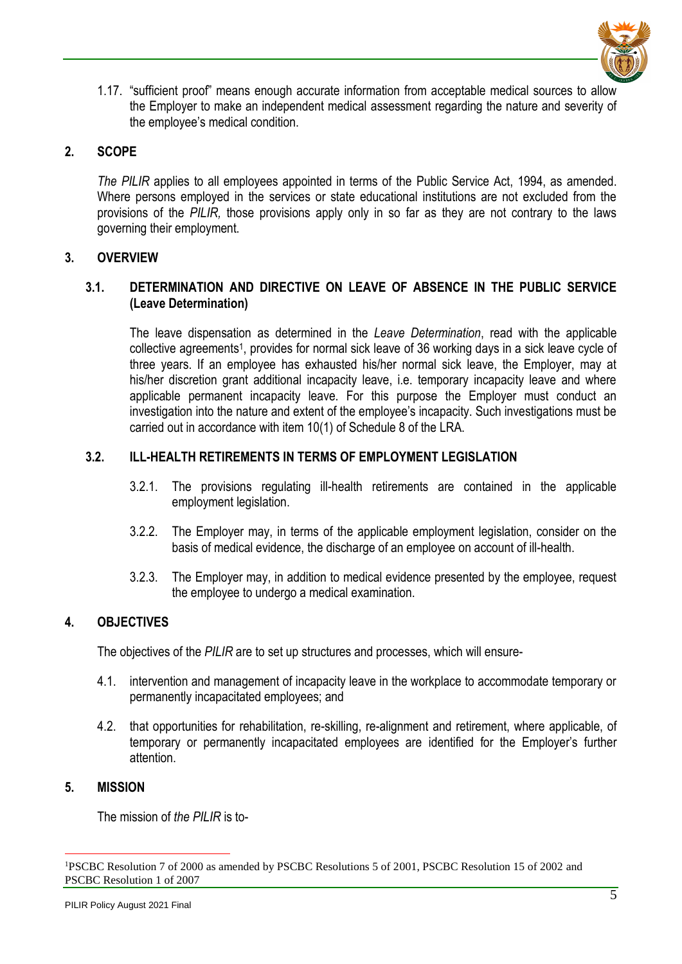

1.17. "sufficient proof" means enough accurate information from acceptable medical sources to allow the Employer to make an independent medical assessment regarding the nature and severity of the employee's medical condition.

## <span id="page-4-0"></span>**2. SCOPE**

*The PILIR* applies to all employees appointed in terms of the Public Service Act, 1994, as amended. Where persons employed in the services or state educational institutions are not excluded from the provisions of the *PILIR,* those provisions apply only in so far as they are not contrary to the laws governing their employment.

#### <span id="page-4-1"></span>**3. OVERVIEW**

## <span id="page-4-2"></span>**3.1. DETERMINATION AND DIRECTIVE ON LEAVE OF ABSENCE IN THE PUBLIC SERVICE (Leave Determination)**

The leave dispensation as determined in the *Leave Determination*, read with the applicable collective agreements<sup>1</sup>, provides for normal sick leave of 36 working days in a sick leave cycle of three years. If an employee has exhausted his/her normal sick leave, the Employer, may at his/her discretion grant additional incapacity leave, i.e. temporary incapacity leave and where applicable permanent incapacity leave. For this purpose the Employer must conduct an investigation into the nature and extent of the employee's incapacity. Such investigations must be carried out in accordance with item 10(1) of Schedule 8 of the LRA.

## <span id="page-4-3"></span>**3.2. ILL-HEALTH RETIREMENTS IN TERMS OF EMPLOYMENT LEGISLATION**

- 3.2.1. The provisions regulating ill-health retirements are contained in the applicable employment legislation.
- 3.2.2. The Employer may, in terms of the applicable employment legislation, consider on the basis of medical evidence, the discharge of an employee on account of ill-health.
- 3.2.3. The Employer may, in addition to medical evidence presented by the employee, request the employee to undergo a medical examination.

## <span id="page-4-4"></span>**4. OBJECTIVES**

The objectives of the *PILIR* are to set up structures and processes, which will ensure-

- 4.1. intervention and management of incapacity leave in the workplace to accommodate temporary or permanently incapacitated employees; and
- 4.2. that opportunities for rehabilitation, re-skilling, re-alignment and retirement, where applicable, of temporary or permanently incapacitated employees are identified for the Employer's further attention.

#### <span id="page-4-5"></span>**5. MISSION**

The mission of *the PILIR* is to-

<sup>&</sup>lt;u>.</u> <sup>1</sup>PSCBC Resolution 7 of 2000 as amended by PSCBC Resolutions 5 of 2001, PSCBC Resolution 15 of 2002 and PSCBC Resolution 1 of 2007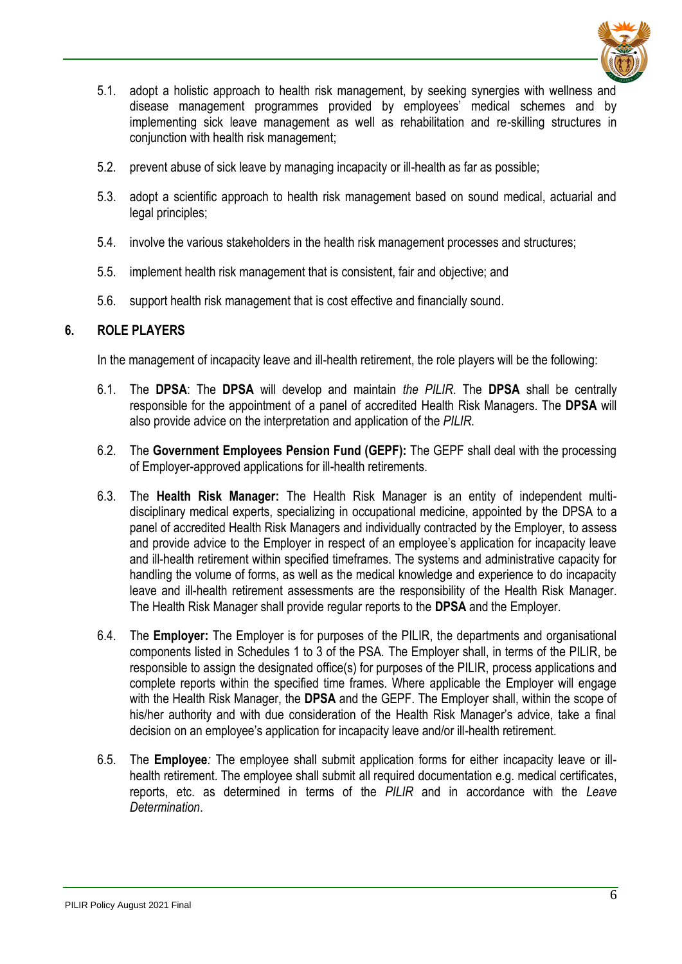

- 5.1. adopt a holistic approach to health risk management, by seeking synergies with wellness and disease management programmes provided by employees' medical schemes and by implementing sick leave management as well as rehabilitation and re-skilling structures in conjunction with health risk management;
- 5.2. prevent abuse of sick leave by managing incapacity or ill-health as far as possible;
- 5.3. adopt a scientific approach to health risk management based on sound medical, actuarial and legal principles;
- 5.4. involve the various stakeholders in the health risk management processes and structures;
- 5.5. implement health risk management that is consistent, fair and objective; and
- 5.6. support health risk management that is cost effective and financially sound.

## <span id="page-5-0"></span>**6. ROLE PLAYERS**

In the management of incapacity leave and ill-health retirement, the role players will be the following:

- 6.1. The **DPSA**: The **DPSA** will develop and maintain *the PILIR*. The **DPSA** shall be centrally responsible for the appointment of a panel of accredited Health Risk Managers. The **DPSA** will also provide advice on the interpretation and application of the *PILIR*.
- 6.2. The **Government Employees Pension Fund (GEPF):** The GEPF shall deal with the processing of Employer-approved applications for ill-health retirements.
- 6.3. The **Health Risk Manager:** The Health Risk Manager is an entity of independent multidisciplinary medical experts, specializing in occupational medicine, appointed by the DPSA to a panel of accredited Health Risk Managers and individually contracted by the Employer, to assess and provide advice to the Employer in respect of an employee's application for incapacity leave and ill-health retirement within specified timeframes. The systems and administrative capacity for handling the volume of forms, as well as the medical knowledge and experience to do incapacity leave and ill-health retirement assessments are the responsibility of the Health Risk Manager. The Health Risk Manager shall provide regular reports to the **DPSA** and the Employer.
- 6.4. The **Employer:** The Employer is for purposes of the PILIR, the departments and organisational components listed in Schedules 1 to 3 of the PSA. The Employer shall, in terms of the PILIR, be responsible to assign the designated office(s) for purposes of the PILIR, process applications and complete reports within the specified time frames. Where applicable the Employer will engage with the Health Risk Manager, the **DPSA** and the GEPF. The Employer shall, within the scope of his/her authority and with due consideration of the Health Risk Manager's advice, take a final decision on an employee's application for incapacity leave and/or ill-health retirement.
- <span id="page-5-1"></span>6.5. The **Employee***:* The employee shall submit application forms for either incapacity leave or illhealth retirement. The employee shall submit all required documentation e.g. medical certificates, reports, etc. as determined in terms of the *PILIR* and in accordance with the *Leave Determination*.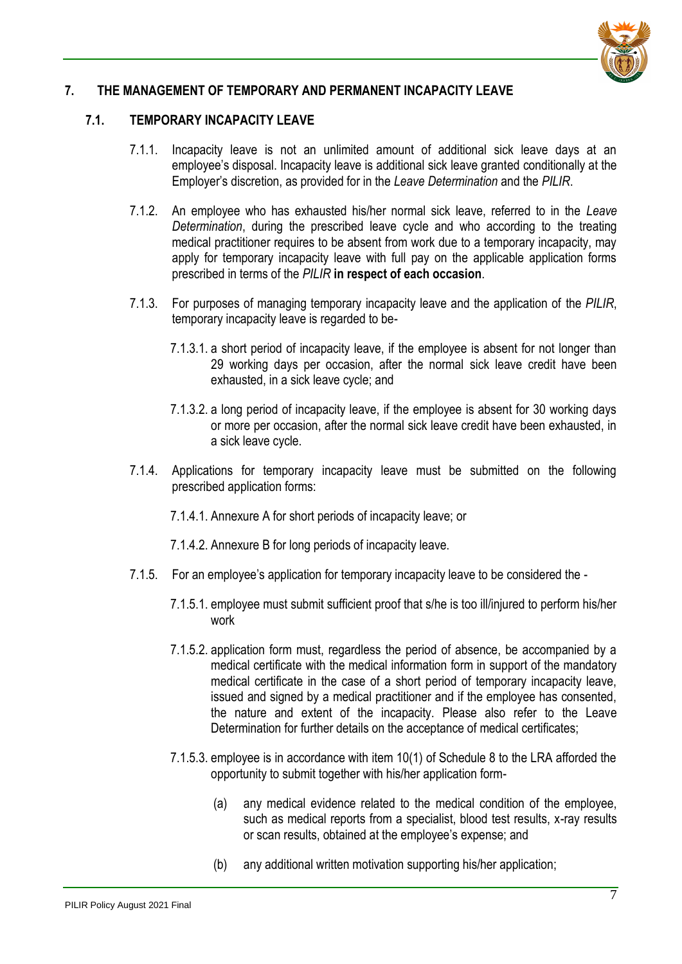

## **7. THE MANAGEMENT OF TEMPORARY AND PERMANENT INCAPACITY LEAVE**

#### <span id="page-6-0"></span>**7.1. TEMPORARY INCAPACITY LEAVE**

- 7.1.1. Incapacity leave is not an unlimited amount of additional sick leave days at an employee's disposal. Incapacity leave is additional sick leave granted conditionally at the Employer's discretion, as provided for in the *Leave Determination* and the *PILIR*.
- 7.1.2. An employee who has exhausted his/her normal sick leave, referred to in the *Leave Determination*, during the prescribed leave cycle and who according to the treating medical practitioner requires to be absent from work due to a temporary incapacity, may apply for temporary incapacity leave with full pay on the applicable application forms prescribed in terms of the *PILIR* **in respect of each occasion**.
- 7.1.3. For purposes of managing temporary incapacity leave and the application of the *PILIR*, temporary incapacity leave is regarded to be-
	- 7.1.3.1. a short period of incapacity leave, if the employee is absent for not longer than 29 working days per occasion, after the normal sick leave credit have been exhausted, in a sick leave cycle; and
	- 7.1.3.2. a long period of incapacity leave, if the employee is absent for 30 working days or more per occasion, after the normal sick leave credit have been exhausted, in a sick leave cycle.
- 7.1.4. Applications for temporary incapacity leave must be submitted on the following prescribed application forms:
	- 7.1.4.1. Annexure A for short periods of incapacity leave; or
	- 7.1.4.2. Annexure B for long periods of incapacity leave.
- 7.1.5. For an employee's application for temporary incapacity leave to be considered the
	- 7.1.5.1. employee must submit sufficient proof that s/he is too ill/injured to perform his/her work
	- 7.1.5.2. application form must, regardless the period of absence, be accompanied by a medical certificate with the medical information form in support of the mandatory medical certificate in the case of a short period of temporary incapacity leave, issued and signed by a medical practitioner and if the employee has consented. the nature and extent of the incapacity. Please also refer to the Leave Determination for further details on the acceptance of medical certificates;
	- 7.1.5.3. employee is in accordance with item 10(1) of Schedule 8 to the LRA afforded the opportunity to submit together with his/her application form-
		- (a) any medical evidence related to the medical condition of the employee, such as medical reports from a specialist, blood test results, x-ray results or scan results, obtained at the employee's expense; and
		- (b) any additional written motivation supporting his/her application;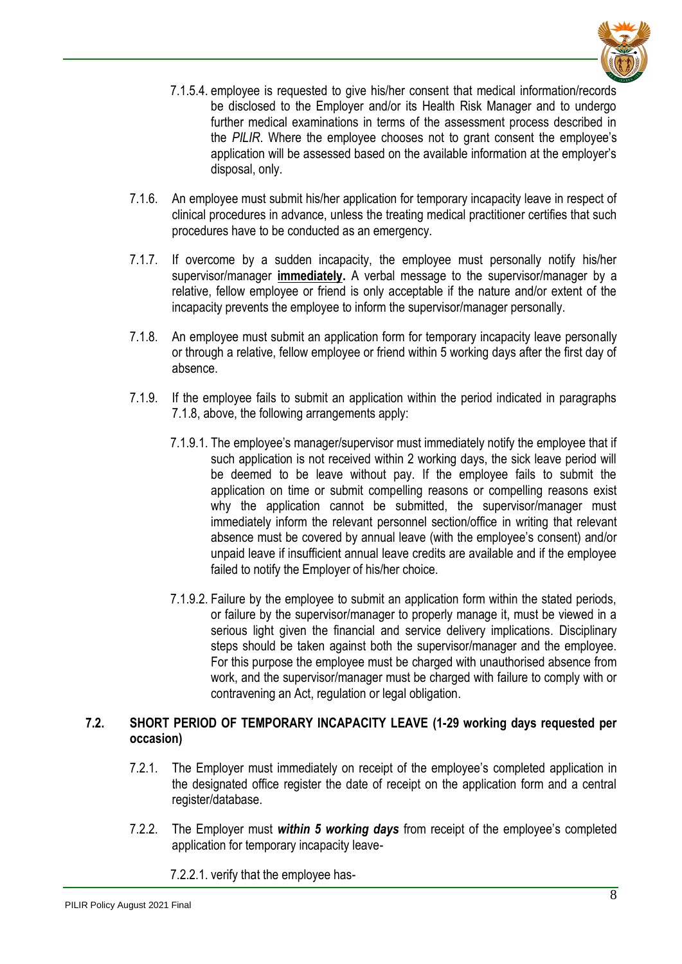

- 7.1.5.4. employee is requested to give his/her consent that medical information/records be disclosed to the Employer and/or its Health Risk Manager and to undergo further medical examinations in terms of the assessment process described in the *PILIR*. Where the employee chooses not to grant consent the employee's application will be assessed based on the available information at the employer's disposal, only.
- 7.1.6. An employee must submit his/her application for temporary incapacity leave in respect of clinical procedures in advance, unless the treating medical practitioner certifies that such procedures have to be conducted as an emergency.
- 7.1.7. If overcome by a sudden incapacity, the employee must personally notify his/her supervisor/manager **immediately.** A verbal message to the supervisor/manager by a relative, fellow employee or friend is only acceptable if the nature and/or extent of the incapacity prevents the employee to inform the supervisor/manager personally.
- 7.1.8. An employee must submit an application form for temporary incapacity leave personally or through a relative, fellow employee or friend within 5 working days after the first day of absence.
- 7.1.9. If the employee fails to submit an application within the period indicated in paragraphs 7.1.8, above, the following arrangements apply:
	- 7.1.9.1. The employee's manager/supervisor must immediately notify the employee that if such application is not received within 2 working days, the sick leave period will be deemed to be leave without pay. If the employee fails to submit the application on time or submit compelling reasons or compelling reasons exist why the application cannot be submitted, the supervisor/manager must immediately inform the relevant personnel section/office in writing that relevant absence must be covered by annual leave (with the employee's consent) and/or unpaid leave if insufficient annual leave credits are available and if the employee failed to notify the Employer of his/her choice.
	- 7.1.9.2. Failure by the employee to submit an application form within the stated periods, or failure by the supervisor/manager to properly manage it, must be viewed in a serious light given the financial and service delivery implications. Disciplinary steps should be taken against both the supervisor/manager and the employee. For this purpose the employee must be charged with unauthorised absence from work, and the supervisor/manager must be charged with failure to comply with or contravening an Act, regulation or legal obligation.

#### <span id="page-7-0"></span>**7.2. SHORT PERIOD OF TEMPORARY INCAPACITY LEAVE (1-29 working days requested per occasion)**

- 7.2.1. The Employer must immediately on receipt of the employee's completed application in the designated office register the date of receipt on the application form and a central register/database.
- 7.2.2. The Employer must *within 5 working days* from receipt of the employee's completed application for temporary incapacity leave-
	- 7.2.2.1. verify that the employee has-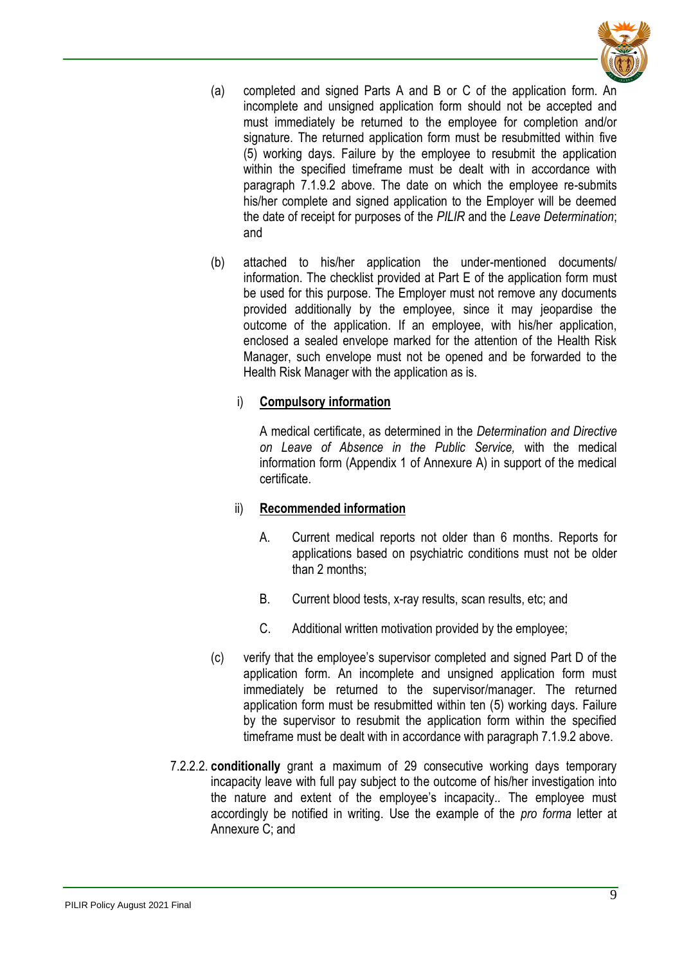

- (a) completed and signed Parts A and B or C of the application form. An incomplete and unsigned application form should not be accepted and must immediately be returned to the employee for completion and/or signature. The returned application form must be resubmitted within five (5) working days. Failure by the employee to resubmit the application within the specified timeframe must be dealt with in accordance with paragraph 7.1.9.2 above. The date on which the employee re-submits his/her complete and signed application to the Employer will be deemed the date of receipt for purposes of the *PILIR* and the *Leave Determination*; and
- (b) attached to his/her application the under-mentioned documents/ information. The checklist provided at Part E of the application form must be used for this purpose. The Employer must not remove any documents provided additionally by the employee, since it may jeopardise the outcome of the application. If an employee, with his/her application, enclosed a sealed envelope marked for the attention of the Health Risk Manager, such envelope must not be opened and be forwarded to the Health Risk Manager with the application as is.

## i) **Compulsory information**

A medical certificate, as determined in the *Determination and Directive on Leave of Absence in the Public Service,* with the medical information form (Appendix 1 of Annexure A) in support of the medical certificate.

#### ii) **Recommended information**

- A. Current medical reports not older than 6 months. Reports for applications based on psychiatric conditions must not be older than 2 months;
- B. Current blood tests, x-ray results, scan results, etc; and
- C. Additional written motivation provided by the employee;
- (c) verify that the employee's supervisor completed and signed Part D of the application form. An incomplete and unsigned application form must immediately be returned to the supervisor/manager. The returned application form must be resubmitted within ten (5) working days. Failure by the supervisor to resubmit the application form within the specified timeframe must be dealt with in accordance with paragraph 7.1.9.2 above.
- 7.2.2.2. **conditionally** grant a maximum of 29 consecutive working days temporary incapacity leave with full pay subject to the outcome of his/her investigation into the nature and extent of the employee's incapacity.. The employee must accordingly be notified in writing. Use the example of the *pro forma* letter at Annexure C; and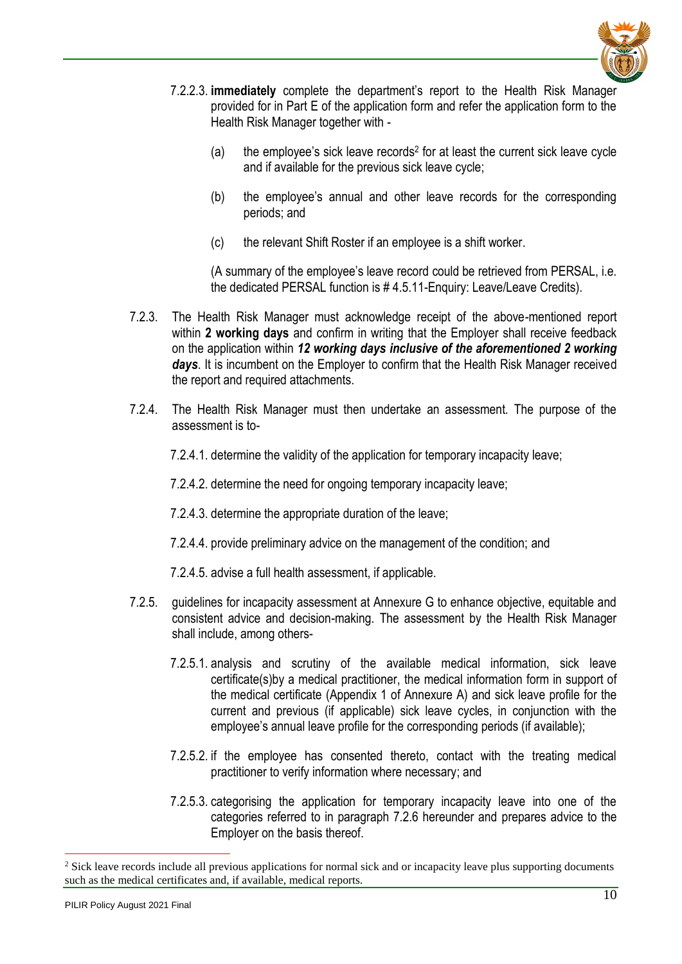

- 7.2.2.3. **immediately** complete the department's report to the Health Risk Manager provided for in Part E of the application form and refer the application form to the Health Risk Manager together with -
	- (a) the employee's sick leave records<sup>2</sup> for at least the current sick leave cycle and if available for the previous sick leave cycle;
	- (b) the employee's annual and other leave records for the corresponding periods; and
	- (c) the relevant Shift Roster if an employee is a shift worker.

(A summary of the employee's leave record could be retrieved from PERSAL, i.e. the dedicated PERSAL function is # 4.5.11-Enquiry: Leave/Leave Credits).

- 7.2.3. The Health Risk Manager must acknowledge receipt of the above-mentioned report within **2 working days** and confirm in writing that the Employer shall receive feedback on the application within *12 working days inclusive of the aforementioned 2 working days*. It is incumbent on the Employer to confirm that the Health Risk Manager received the report and required attachments.
- 7.2.4. The Health Risk Manager must then undertake an assessment. The purpose of the assessment is to-
	- 7.2.4.1. determine the validity of the application for temporary incapacity leave;
	- 7.2.4.2. determine the need for ongoing temporary incapacity leave;
	- 7.2.4.3. determine the appropriate duration of the leave;
	- 7.2.4.4. provide preliminary advice on the management of the condition; and
	- 7.2.4.5. advise a full health assessment, if applicable.
- 7.2.5. guidelines for incapacity assessment at Annexure G to enhance objective, equitable and consistent advice and decision-making. The assessment by the Health Risk Manager shall include, among others-
	- 7.2.5.1. analysis and scrutiny of the available medical information, sick leave certificate(s)by a medical practitioner, the medical information form in support of the medical certificate (Appendix 1 of Annexure A) and sick leave profile for the current and previous (if applicable) sick leave cycles, in conjunction with the employee's annual leave profile for the corresponding periods (if available);
	- 7.2.5.2. if the employee has consented thereto, contact with the treating medical practitioner to verify information where necessary; and
	- 7.2.5.3. categorising the application for temporary incapacity leave into one of the categories referred to in paragraph 7.2.6 hereunder and prepares advice to the Employer on the basis thereof.

<u>.</u>

<sup>&</sup>lt;sup>2</sup> Sick leave records include all previous applications for normal sick and or incapacity leave plus supporting documents such as the medical certificates and, if available, medical reports.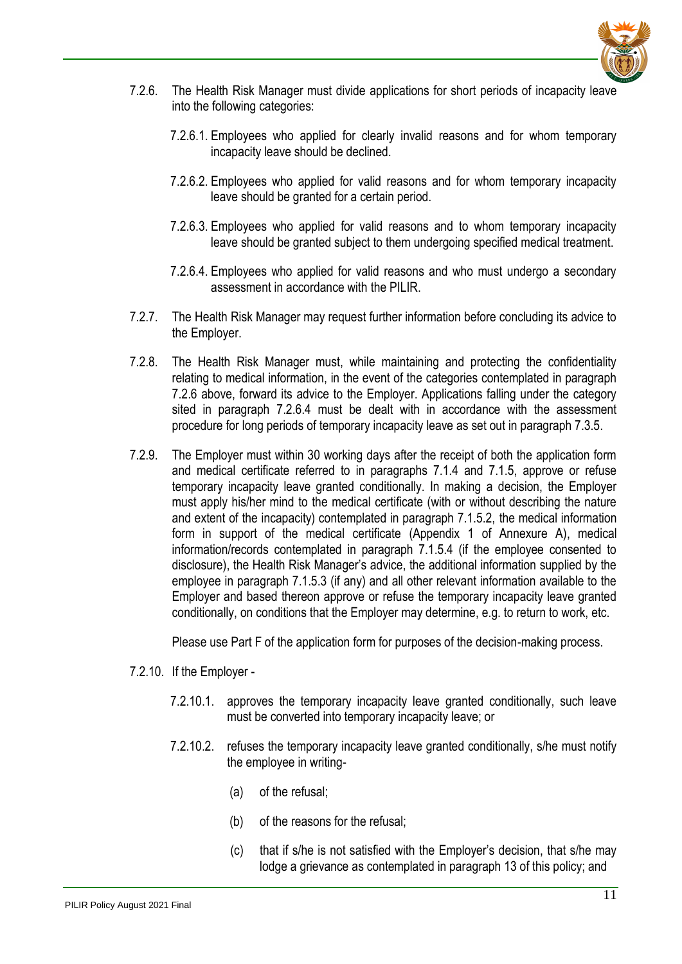

- 7.2.6. The Health Risk Manager must divide applications for short periods of incapacity leave into the following categories:
	- 7.2.6.1. Employees who applied for clearly invalid reasons and for whom temporary incapacity leave should be declined.
	- 7.2.6.2. Employees who applied for valid reasons and for whom temporary incapacity leave should be granted for a certain period.
	- 7.2.6.3. Employees who applied for valid reasons and to whom temporary incapacity leave should be granted subject to them undergoing specified medical treatment.
	- 7.2.6.4. Employees who applied for valid reasons and who must undergo a secondary assessment in accordance with the PILIR.
- 7.2.7. The Health Risk Manager may request further information before concluding its advice to the Employer.
- 7.2.8. The Health Risk Manager must, while maintaining and protecting the confidentiality relating to medical information, in the event of the categories contemplated in paragraph 7.2.6 above, forward its advice to the Employer. Applications falling under the category sited in paragraph 7.2.6.4 must be dealt with in accordance with the assessment procedure for long periods of temporary incapacity leave as set out in paragraph 7.3.5.
- 7.2.9. The Employer must within 30 working days after the receipt of both the application form and medical certificate referred to in paragraphs 7.1.4 and 7.1.5, approve or refuse temporary incapacity leave granted conditionally. In making a decision, the Employer must apply his/her mind to the medical certificate (with or without describing the nature and extent of the incapacity) contemplated in paragraph 7.1.5.2, the medical information form in support of the medical certificate (Appendix 1 of Annexure A), medical information/records contemplated in paragraph 7.1.5.4 (if the employee consented to disclosure), the Health Risk Manager's advice, the additional information supplied by the employee in paragraph 7.1.5.3 (if any) and all other relevant information available to the Employer and based thereon approve or refuse the temporary incapacity leave granted conditionally, on conditions that the Employer may determine, e.g. to return to work, etc.

Please use Part F of the application form for purposes of the decision-making process.

- 7.2.10. If the Employer
	- 7.2.10.1. approves the temporary incapacity leave granted conditionally, such leave must be converted into temporary incapacity leave; or
	- 7.2.10.2. refuses the temporary incapacity leave granted conditionally, s/he must notify the employee in writing-
		- (a) of the refusal;
		- (b) of the reasons for the refusal;
		- (c) that if s/he is not satisfied with the Employer's decision, that s/he may lodge a grievance as contemplated in paragraph 13 of this policy; and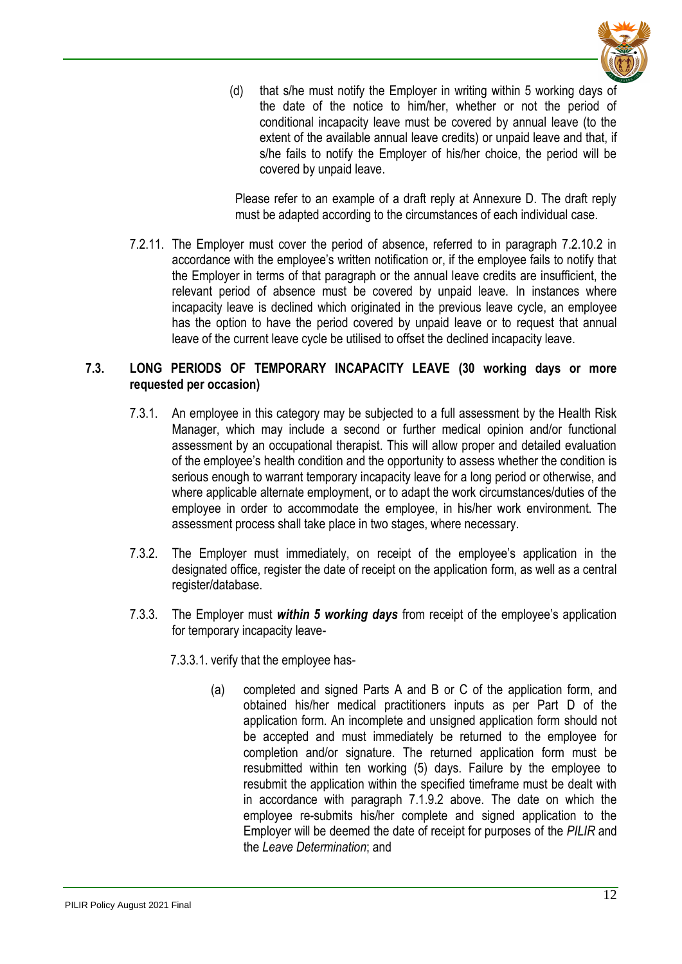

(d) that s/he must notify the Employer in writing within 5 working days of the date of the notice to him/her, whether or not the period of conditional incapacity leave must be covered by annual leave (to the extent of the available annual leave credits) or unpaid leave and that, if s/he fails to notify the Employer of his/her choice, the period will be covered by unpaid leave.

Please refer to an example of a draft reply at Annexure D. The draft reply must be adapted according to the circumstances of each individual case.

7.2.11. The Employer must cover the period of absence, referred to in paragraph 7.2.10.2 in accordance with the employee's written notification or, if the employee fails to notify that the Employer in terms of that paragraph or the annual leave credits are insufficient, the relevant period of absence must be covered by unpaid leave. In instances where incapacity leave is declined which originated in the previous leave cycle, an employee has the option to have the period covered by unpaid leave or to request that annual leave of the current leave cycle be utilised to offset the declined incapacity leave.

#### <span id="page-11-0"></span>**7.3. LONG PERIODS OF TEMPORARY INCAPACITY LEAVE (30 working days or more requested per occasion)**

- 7.3.1. An employee in this category may be subjected to a full assessment by the Health Risk Manager, which may include a second or further medical opinion and/or functional assessment by an occupational therapist. This will allow proper and detailed evaluation of the employee's health condition and the opportunity to assess whether the condition is serious enough to warrant temporary incapacity leave for a long period or otherwise, and where applicable alternate employment, or to adapt the work circumstances/duties of the employee in order to accommodate the employee, in his/her work environment. The assessment process shall take place in two stages, where necessary.
- 7.3.2. The Employer must immediately, on receipt of the employee's application in the designated office, register the date of receipt on the application form, as well as a central register/database.
- 7.3.3. The Employer must *within 5 working days* from receipt of the employee's application for temporary incapacity leave-
	- 7.3.3.1. verify that the employee has-
		- (a) completed and signed Parts A and B or C of the application form, and obtained his/her medical practitioners inputs as per Part D of the application form. An incomplete and unsigned application form should not be accepted and must immediately be returned to the employee for completion and/or signature. The returned application form must be resubmitted within ten working (5) days. Failure by the employee to resubmit the application within the specified timeframe must be dealt with in accordance with paragraph 7.1.9.2 above. The date on which the employee re-submits his/her complete and signed application to the Employer will be deemed the date of receipt for purposes of the *PILIR* and the *Leave Determination*; and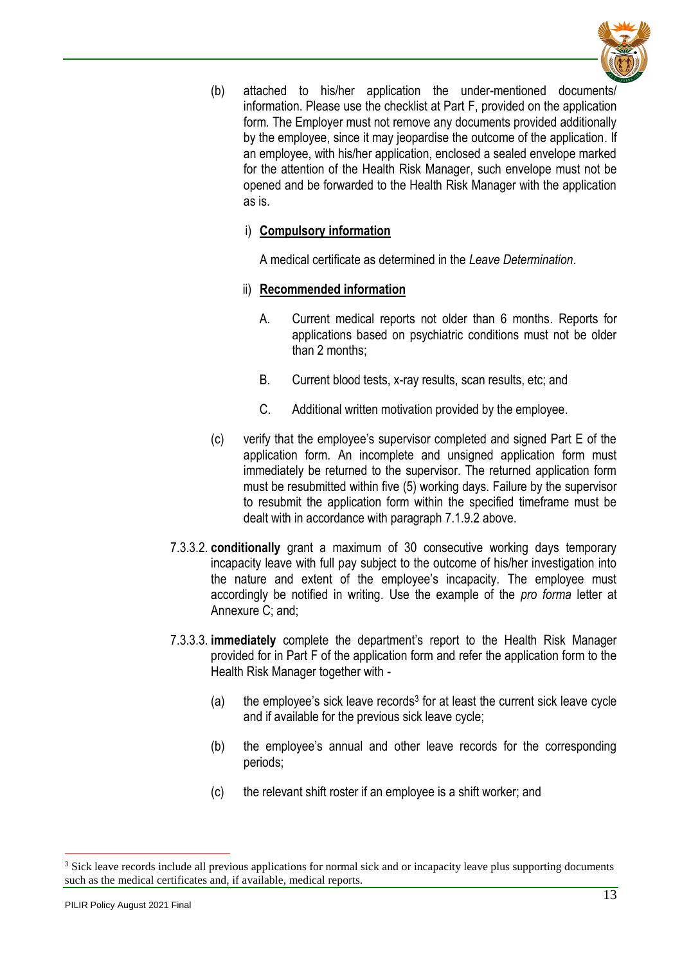

(b) attached to his/her application the under-mentioned documents/ information. Please use the checklist at Part F, provided on the application form. The Employer must not remove any documents provided additionally by the employee, since it may jeopardise the outcome of the application. If an employee, with his/her application, enclosed a sealed envelope marked for the attention of the Health Risk Manager, such envelope must not be opened and be forwarded to the Health Risk Manager with the application as is.

## i) **Compulsory information**

A medical certificate as determined in the *Leave Determination*.

- ii) **Recommended information**
	- A. Current medical reports not older than 6 months. Reports for applications based on psychiatric conditions must not be older than 2 months;
	- B. Current blood tests, x-ray results, scan results, etc; and
	- C. Additional written motivation provided by the employee.
- (c) verify that the employee's supervisor completed and signed Part E of the application form. An incomplete and unsigned application form must immediately be returned to the supervisor. The returned application form must be resubmitted within five (5) working days. Failure by the supervisor to resubmit the application form within the specified timeframe must be dealt with in accordance with paragraph 7.1.9.2 above.
- 7.3.3.2. **conditionally** grant a maximum of 30 consecutive working days temporary incapacity leave with full pay subject to the outcome of his/her investigation into the nature and extent of the employee's incapacity. The employee must accordingly be notified in writing. Use the example of the *pro forma* letter at Annexure C; and;
- 7.3.3.3. **immediately** complete the department's report to the Health Risk Manager provided for in Part F of the application form and refer the application form to the Health Risk Manager together with -
	- $(a)$  the employee's sick leave records<sup>3</sup> for at least the current sick leave cycle and if available for the previous sick leave cycle;
	- (b) the employee's annual and other leave records for the corresponding periods;
	- (c) the relevant shift roster if an employee is a shift worker; and

<u>.</u>

<sup>&</sup>lt;sup>3</sup> Sick leave records include all previous applications for normal sick and or incapacity leave plus supporting documents such as the medical certificates and, if available, medical reports.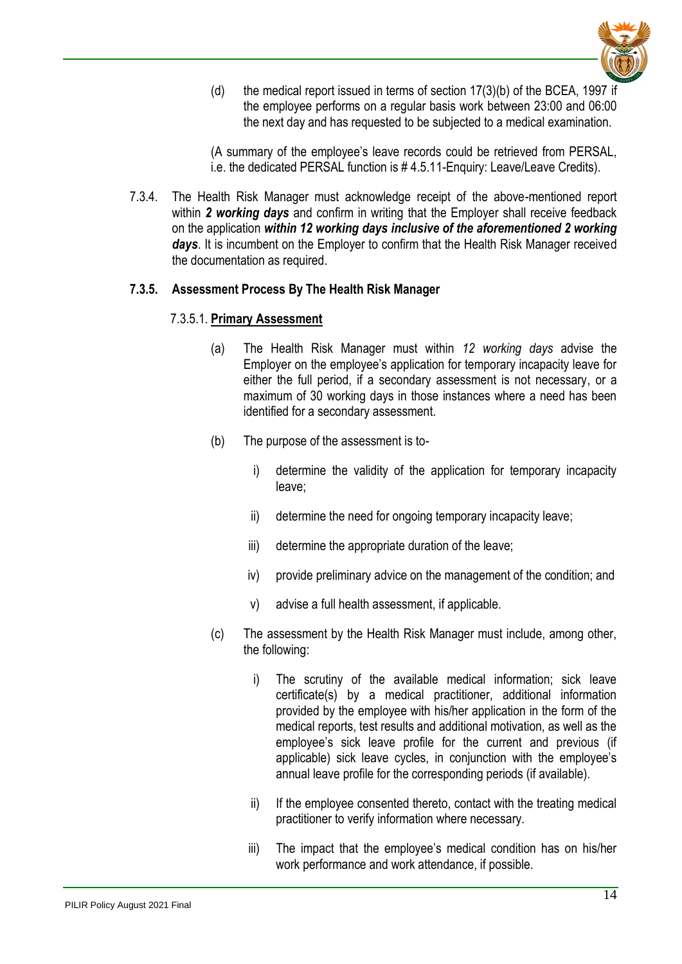

(d) the medical report issued in terms of section 17(3)(b) of the BCEA, 1997 if the employee performs on a regular basis work between 23:00 and 06:00 the next day and has requested to be subjected to a medical examination.

(A summary of the employee's leave records could be retrieved from PERSAL, i.e. the dedicated PERSAL function is # 4.5.11-Enquiry: Leave/Leave Credits).

7.3.4. The Health Risk Manager must acknowledge receipt of the above-mentioned report within *2 working days* and confirm in writing that the Employer shall receive feedback on the application *within 12 working days inclusive of the aforementioned 2 working days*. It is incumbent on the Employer to confirm that the Health Risk Manager received the documentation as required.

#### **7.3.5. Assessment Process By The Health Risk Manager**

#### 7.3.5.1. **Primary Assessment**

- (a) The Health Risk Manager must within *12 working days* advise the Employer on the employee's application for temporary incapacity leave for either the full period, if a secondary assessment is not necessary, or a maximum of 30 working days in those instances where a need has been identified for a secondary assessment.
- (b) The purpose of the assessment is to
	- i) determine the validity of the application for temporary incapacity leave;
	- ii) determine the need for ongoing temporary incapacity leave;
	- iii) determine the appropriate duration of the leave;
	- iv) provide preliminary advice on the management of the condition; and
	- v) advise a full health assessment, if applicable.
- (c) The assessment by the Health Risk Manager must include, among other, the following:
	- i) The scrutiny of the available medical information; sick leave certificate(s) by a medical practitioner, additional information provided by the employee with his/her application in the form of the medical reports, test results and additional motivation, as well as the employee's sick leave profile for the current and previous (if applicable) sick leave cycles, in conjunction with the employee's annual leave profile for the corresponding periods (if available).
	- ii) If the employee consented thereto, contact with the treating medical practitioner to verify information where necessary.
	- iii) The impact that the employee's medical condition has on his/her work performance and work attendance, if possible.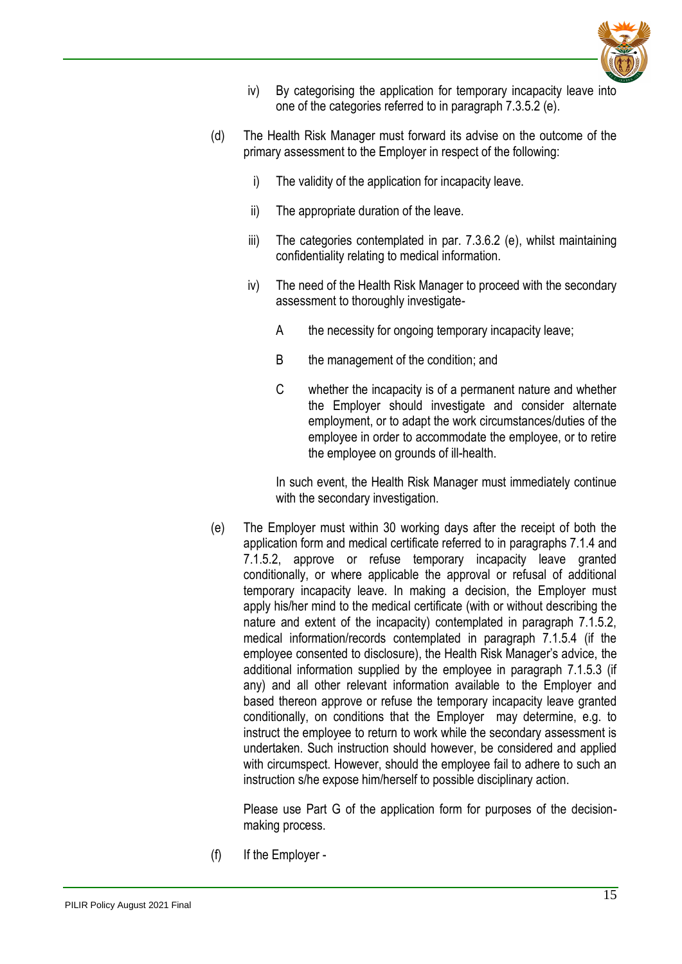

- iv) By categorising the application for temporary incapacity leave into one of the categories referred to in paragraph 7.3.5.2 (e).
- (d) The Health Risk Manager must forward its advise on the outcome of the primary assessment to the Employer in respect of the following:
	- i) The validity of the application for incapacity leave.
	- ii) The appropriate duration of the leave.
	- iii) The categories contemplated in par. 7.3.6.2 (e), whilst maintaining confidentiality relating to medical information.
	- iv) The need of the Health Risk Manager to proceed with the secondary assessment to thoroughly investigate-
		- A the necessity for ongoing temporary incapacity leave;
		- B the management of the condition; and
		- C whether the incapacity is of a permanent nature and whether the Employer should investigate and consider alternate employment, or to adapt the work circumstances/duties of the employee in order to accommodate the employee, or to retire the employee on grounds of ill-health.

In such event, the Health Risk Manager must immediately continue with the secondary investigation.

(e) The Employer must within 30 working days after the receipt of both the application form and medical certificate referred to in paragraphs 7.1.4 and 7.1.5.2, approve or refuse temporary incapacity leave granted conditionally, or where applicable the approval or refusal of additional temporary incapacity leave. In making a decision, the Employer must apply his/her mind to the medical certificate (with or without describing the nature and extent of the incapacity) contemplated in paragraph 7.1.5.2, medical information/records contemplated in paragraph 7.1.5.4 (if the employee consented to disclosure), the Health Risk Manager's advice, the additional information supplied by the employee in paragraph 7.1.5.3 (if any) and all other relevant information available to the Employer and based thereon approve or refuse the temporary incapacity leave granted conditionally, on conditions that the Employer may determine, e.g. to instruct the employee to return to work while the secondary assessment is undertaken. Such instruction should however, be considered and applied with circumspect. However, should the employee fail to adhere to such an instruction s/he expose him/herself to possible disciplinary action.

Please use Part G of the application form for purposes of the decisionmaking process.

(f) If the Employer -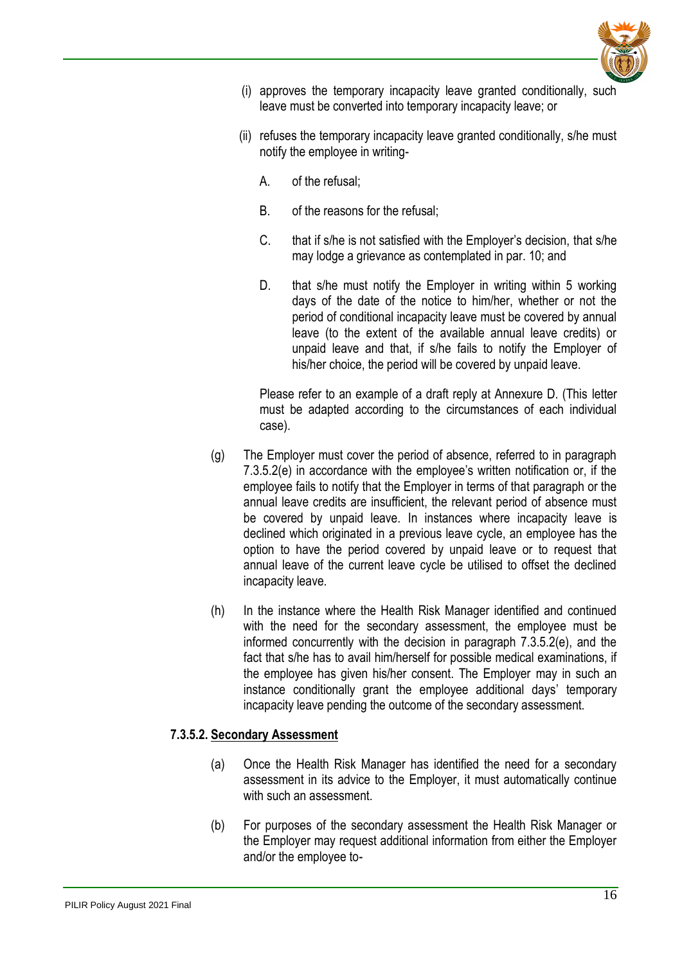

- (i) approves the temporary incapacity leave granted conditionally, such leave must be converted into temporary incapacity leave; or
- (ii) refuses the temporary incapacity leave granted conditionally, s/he must notify the employee in writing-
	- A. of the refusal;
	- B. of the reasons for the refusal;
	- C. that if s/he is not satisfied with the Employer's decision, that s/he may lodge a grievance as contemplated in par. 10; and
	- D. that s/he must notify the Employer in writing within 5 working days of the date of the notice to him/her, whether or not the period of conditional incapacity leave must be covered by annual leave (to the extent of the available annual leave credits) or unpaid leave and that, if s/he fails to notify the Employer of his/her choice, the period will be covered by unpaid leave.

Please refer to an example of a draft reply at Annexure D. (This letter must be adapted according to the circumstances of each individual case).

- (g) The Employer must cover the period of absence, referred to in paragraph 7.3.5.2(e) in accordance with the employee's written notification or, if the employee fails to notify that the Employer in terms of that paragraph or the annual leave credits are insufficient, the relevant period of absence must be covered by unpaid leave. In instances where incapacity leave is declined which originated in a previous leave cycle, an employee has the option to have the period covered by unpaid leave or to request that annual leave of the current leave cycle be utilised to offset the declined incapacity leave.
- (h) In the instance where the Health Risk Manager identified and continued with the need for the secondary assessment, the employee must be informed concurrently with the decision in paragraph 7.3.5.2(e), and the fact that s/he has to avail him/herself for possible medical examinations, if the employee has given his/her consent. The Employer may in such an instance conditionally grant the employee additional days' temporary incapacity leave pending the outcome of the secondary assessment.

#### **7.3.5.2. Secondary Assessment**

- (a) Once the Health Risk Manager has identified the need for a secondary assessment in its advice to the Employer, it must automatically continue with such an assessment.
- (b) For purposes of the secondary assessment the Health Risk Manager or the Employer may request additional information from either the Employer and/or the employee to-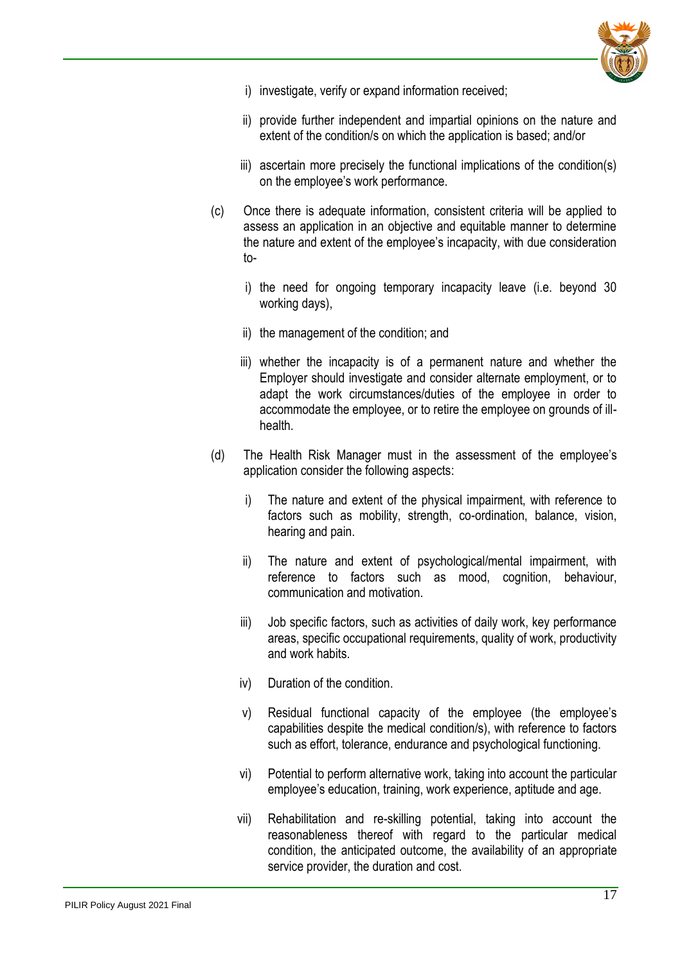

- i) investigate, verify or expand information received;
- ii) provide further independent and impartial opinions on the nature and extent of the condition/s on which the application is based; and/or
- iii) ascertain more precisely the functional implications of the condition(s) on the employee's work performance.
- (c) Once there is adequate information, consistent criteria will be applied to assess an application in an objective and equitable manner to determine the nature and extent of the employee's incapacity, with due consideration to
	- i) the need for ongoing temporary incapacity leave (i.e. beyond 30 working days),
	- ii) the management of the condition; and
	- iii) whether the incapacity is of a permanent nature and whether the Employer should investigate and consider alternate employment, or to adapt the work circumstances/duties of the employee in order to accommodate the employee, or to retire the employee on grounds of illhealth.
- (d) The Health Risk Manager must in the assessment of the employee's application consider the following aspects:
	- i) The nature and extent of the physical impairment, with reference to factors such as mobility, strength, co-ordination, balance, vision, hearing and pain.
	- ii) The nature and extent of psychological/mental impairment, with reference to factors such as mood, cognition, behaviour, communication and motivation.
	- iii) Job specific factors, such as activities of daily work, key performance areas, specific occupational requirements, quality of work, productivity and work habits.
	- iv) Duration of the condition.
	- v) Residual functional capacity of the employee (the employee's capabilities despite the medical condition/s), with reference to factors such as effort, tolerance, endurance and psychological functioning.
	- vi) Potential to perform alternative work, taking into account the particular employee's education, training, work experience, aptitude and age.
	- vii) Rehabilitation and re-skilling potential, taking into account the reasonableness thereof with regard to the particular medical condition, the anticipated outcome, the availability of an appropriate service provider, the duration and cost.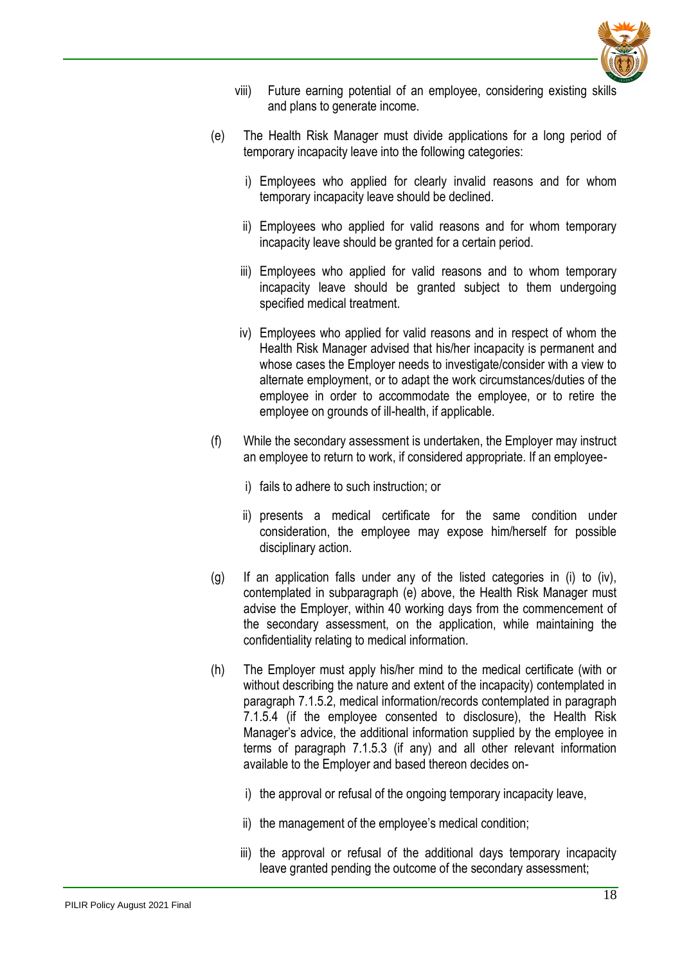

- viii) Future earning potential of an employee, considering existing skills and plans to generate income.
- (e) The Health Risk Manager must divide applications for a long period of temporary incapacity leave into the following categories:
	- i) Employees who applied for clearly invalid reasons and for whom temporary incapacity leave should be declined.
	- ii) Employees who applied for valid reasons and for whom temporary incapacity leave should be granted for a certain period.
	- iii) Employees who applied for valid reasons and to whom temporary incapacity leave should be granted subject to them undergoing specified medical treatment.
	- iv) Employees who applied for valid reasons and in respect of whom the Health Risk Manager advised that his/her incapacity is permanent and whose cases the Employer needs to investigate/consider with a view to alternate employment, or to adapt the work circumstances/duties of the employee in order to accommodate the employee, or to retire the employee on grounds of ill-health, if applicable.
- (f) While the secondary assessment is undertaken, the Employer may instruct an employee to return to work, if considered appropriate. If an employee
	- i) fails to adhere to such instruction; or
	- ii) presents a medical certificate for the same condition under consideration, the employee may expose him/herself for possible disciplinary action.
- (g) If an application falls under any of the listed categories in (i) to (iv), contemplated in subparagraph (e) above, the Health Risk Manager must advise the Employer, within 40 working days from the commencement of the secondary assessment, on the application, while maintaining the confidentiality relating to medical information.
- (h) The Employer must apply his/her mind to the medical certificate (with or without describing the nature and extent of the incapacity) contemplated in paragraph 7.1.5.2, medical information/records contemplated in paragraph 7.1.5.4 (if the employee consented to disclosure), the Health Risk Manager's advice, the additional information supplied by the employee in terms of paragraph 7.1.5.3 (if any) and all other relevant information available to the Employer and based thereon decides on
	- i) the approval or refusal of the ongoing temporary incapacity leave,
	- ii) the management of the employee's medical condition;
	- iii) the approval or refusal of the additional days temporary incapacity leave granted pending the outcome of the secondary assessment;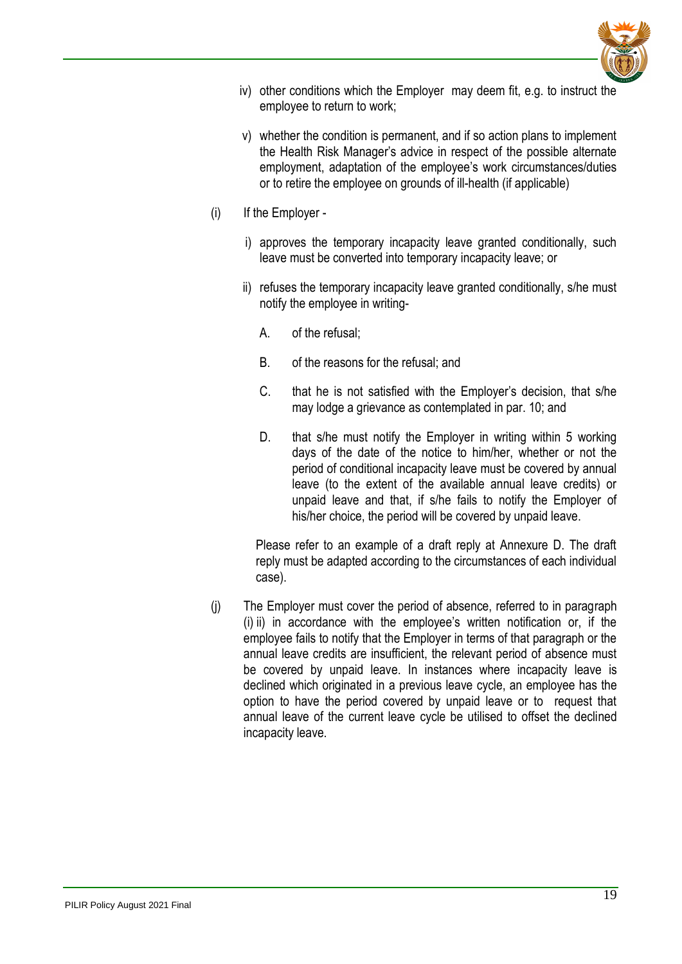

- iv) other conditions which the Employer may deem fit, e.g. to instruct the employee to return to work;
- v) whether the condition is permanent, and if so action plans to implement the Health Risk Manager's advice in respect of the possible alternate employment, adaptation of the employee's work circumstances/duties or to retire the employee on grounds of ill-health (if applicable)
- (i) If the Employer
	- i) approves the temporary incapacity leave granted conditionally, such leave must be converted into temporary incapacity leave; or
	- ii) refuses the temporary incapacity leave granted conditionally, s/he must notify the employee in writing-
		- A. of the refusal;
		- B. of the reasons for the refusal; and
		- C. that he is not satisfied with the Employer's decision, that s/he may lodge a grievance as contemplated in par. 10; and
		- D. that s/he must notify the Employer in writing within 5 working days of the date of the notice to him/her, whether or not the period of conditional incapacity leave must be covered by annual leave (to the extent of the available annual leave credits) or unpaid leave and that, if s/he fails to notify the Employer of his/her choice, the period will be covered by unpaid leave.

Please refer to an example of a draft reply at Annexure D. The draft reply must be adapted according to the circumstances of each individual case).

<span id="page-18-0"></span>(j) The Employer must cover the period of absence, referred to in paragraph (i) ii) in accordance with the employee's written notification or, if the employee fails to notify that the Employer in terms of that paragraph or the annual leave credits are insufficient, the relevant period of absence must be covered by unpaid leave. In instances where incapacity leave is declined which originated in a previous leave cycle, an employee has the option to have the period covered by unpaid leave or to request that annual leave of the current leave cycle be utilised to offset the declined incapacity leave.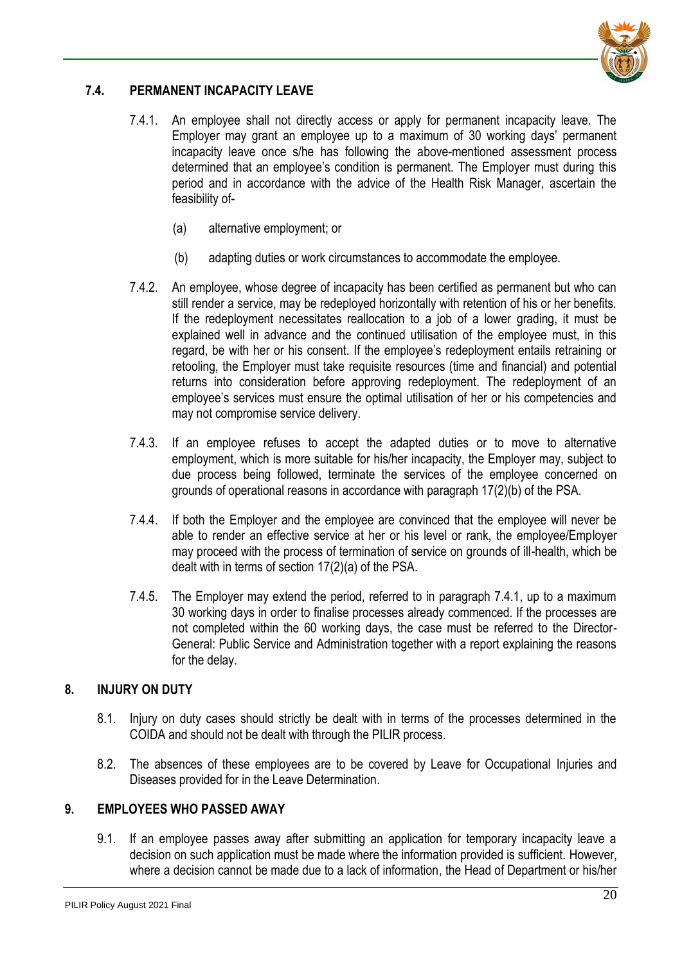

## **7.4. PERMANENT INCAPACITY LEAVE**

- 7.4.1. An employee shall not directly access or apply for permanent incapacity leave. The Employer may grant an employee up to a maximum of 30 working days' permanent incapacity leave once s/he has following the above-mentioned assessment process determined that an employee's condition is permanent. The Employer must during this period and in accordance with the advice of the Health Risk Manager, ascertain the feasibility of-
	- (a) alternative employment; or
	- (b) adapting duties or work circumstances to accommodate the employee.
- 7.4.2. An employee, whose degree of incapacity has been certified as permanent but who can still render a service, may be redeployed horizontally with retention of his or her benefits. If the redeployment necessitates reallocation to a job of a lower grading, it must be explained well in advance and the continued utilisation of the employee must, in this regard, be with her or his consent. If the employee's redeployment entails retraining or retooling, the Employer must take requisite resources (time and financial) and potential returns into consideration before approving redeployment. The redeployment of an employee's services must ensure the optimal utilisation of her or his competencies and may not compromise service delivery.
- 7.4.3. If an employee refuses to accept the adapted duties or to move to alternative employment, which is more suitable for his/her incapacity, the Employer may, subject to due process being followed, terminate the services of the employee concerned on grounds of operational reasons in accordance with paragraph 17(2)(b) of the PSA.
- 7.4.4. If both the Employer and the employee are convinced that the employee will never be able to render an effective service at her or his level or rank, the employee/Employer may proceed with the process of termination of service on grounds of ill-health, which be dealt with in terms of section 17(2)(a) of the PSA.
- 7.4.5. The Employer may extend the period, referred to in paragraph 7.4.1, up to a maximum 30 working days in order to finalise processes already commenced. If the processes are not completed within the 60 working days, the case must be referred to the Director-General: Public Service and Administration together with a report explaining the reasons for the delay.

#### <span id="page-19-0"></span>**8. INJURY ON DUTY**

- 8.1. Injury on duty cases should strictly be dealt with in terms of the processes determined in the COIDA and should not be dealt with through the PILIR process.
- 8.2. The absences of these employees are to be covered by Leave for Occupational Injuries and Diseases provided for in the Leave Determination.

#### <span id="page-19-1"></span>**9. EMPLOYEES WHO PASSED AWAY**

9.1. If an employee passes away after submitting an application for temporary incapacity leave a decision on such application must be made where the information provided is sufficient. However, where a decision cannot be made due to a lack of information, the Head of Department or his/her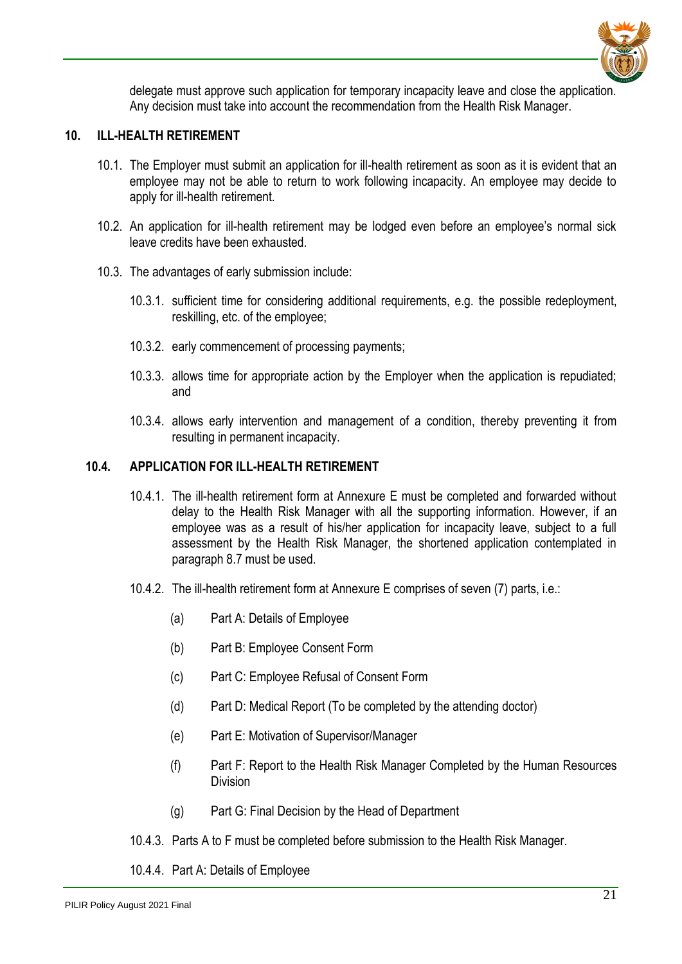

delegate must approve such application for temporary incapacity leave and close the application. Any decision must take into account the recommendation from the Health Risk Manager.

#### <span id="page-20-0"></span>**10. ILL-HEALTH RETIREMENT**

- 10.1. The Employer must submit an application for ill-health retirement as soon as it is evident that an employee may not be able to return to work following incapacity. An employee may decide to apply for ill-health retirement.
- 10.2. An application for ill-health retirement may be lodged even before an employee's normal sick leave credits have been exhausted.
- 10.3. The advantages of early submission include:
	- 10.3.1. sufficient time for considering additional requirements, e.g. the possible redeployment, reskilling, etc. of the employee;
	- 10.3.2. early commencement of processing payments;
	- 10.3.3. allows time for appropriate action by the Employer when the application is repudiated; and
	- 10.3.4. allows early intervention and management of a condition, thereby preventing it from resulting in permanent incapacity.

#### <span id="page-20-1"></span>**10.4. APPLICATION FOR ILL-HEALTH RETIREMENT**

- 10.4.1. The ill-health retirement form at Annexure E must be completed and forwarded without delay to the Health Risk Manager with all the supporting information. However, if an employee was as a result of his/her application for incapacity leave, subject to a full assessment by the Health Risk Manager, the shortened application contemplated in paragraph 8.7 must be used.
- 10.4.2. The ill-health retirement form at Annexure E comprises of seven (7) parts, i.e.:
	- (a) Part A: Details of Employee
	- (b) Part B: Employee Consent Form
	- (c) Part C: Employee Refusal of Consent Form
	- (d) Part D: Medical Report (To be completed by the attending doctor)
	- (e) Part E: Motivation of Supervisor/Manager
	- (f) Part F: Report to the Health Risk Manager Completed by the Human Resources Division
	- (g) Part G: Final Decision by the Head of Department
- 10.4.3. Parts A to F must be completed before submission to the Health Risk Manager.
- 10.4.4. Part A: Details of Employee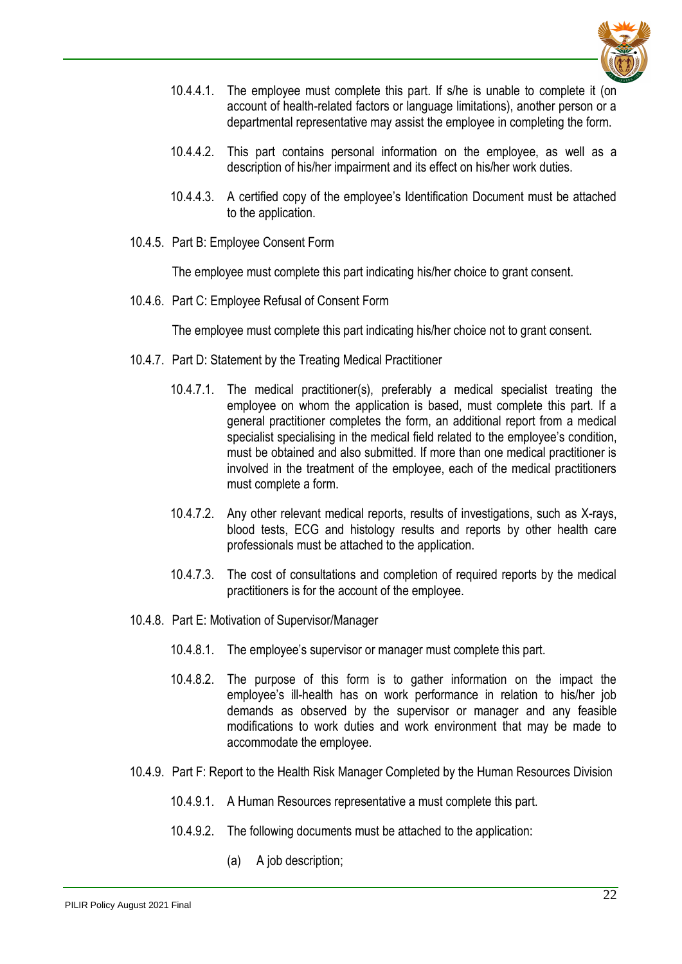

- 10.4.4.1. The employee must complete this part. If s/he is unable to complete it (on account of health-related factors or language limitations), another person or a departmental representative may assist the employee in completing the form.
- 10.4.4.2. This part contains personal information on the employee, as well as a description of his/her impairment and its effect on his/her work duties.
- 10.4.4.3. A certified copy of the employee's Identification Document must be attached to the application.
- 10.4.5. Part B: Employee Consent Form

The employee must complete this part indicating his/her choice to grant consent.

10.4.6. Part C: Employee Refusal of Consent Form

The employee must complete this part indicating his/her choice not to grant consent.

- 10.4.7. Part D: Statement by the Treating Medical Practitioner
	- 10.4.7.1. The medical practitioner(s), preferably a medical specialist treating the employee on whom the application is based, must complete this part. If a general practitioner completes the form, an additional report from a medical specialist specialising in the medical field related to the employee's condition, must be obtained and also submitted. If more than one medical practitioner is involved in the treatment of the employee, each of the medical practitioners must complete a form.
	- 10.4.7.2. Any other relevant medical reports, results of investigations, such as X-rays, blood tests, ECG and histology results and reports by other health care professionals must be attached to the application.
	- 10.4.7.3. The cost of consultations and completion of required reports by the medical practitioners is for the account of the employee.
- 10.4.8. Part E: Motivation of Supervisor/Manager
	- 10.4.8.1. The employee's supervisor or manager must complete this part.
	- 10.4.8.2. The purpose of this form is to gather information on the impact the employee's ill-health has on work performance in relation to his/her job demands as observed by the supervisor or manager and any feasible modifications to work duties and work environment that may be made to accommodate the employee.
- 10.4.9. Part F: Report to the Health Risk Manager Completed by the Human Resources Division
	- 10.4.9.1. A Human Resources representative a must complete this part.
	- 10.4.9.2. The following documents must be attached to the application:
		- (a) A job description;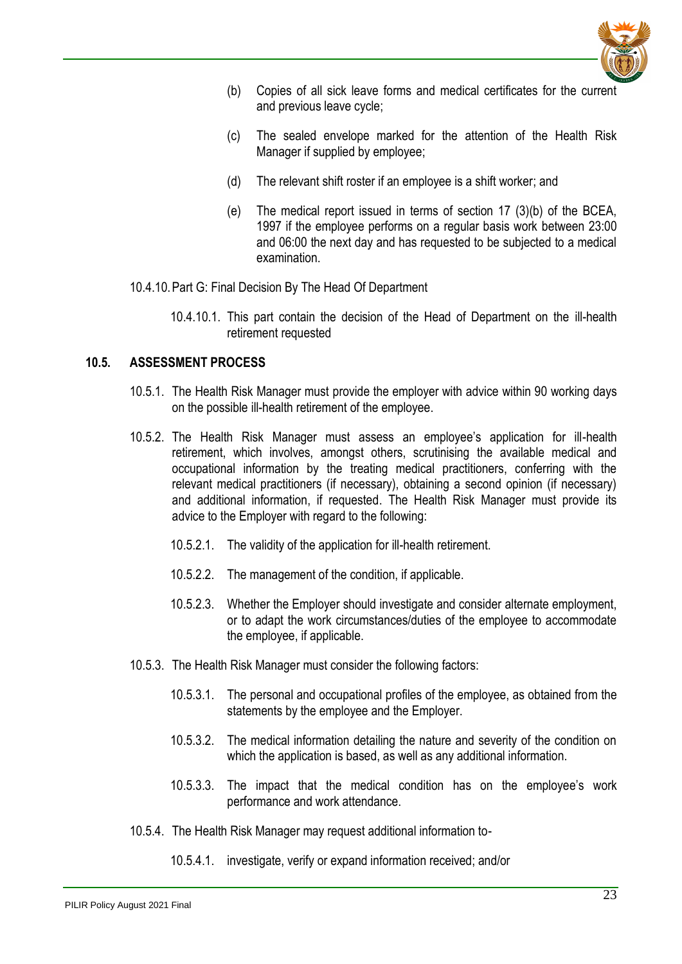

- (b) Copies of all sick leave forms and medical certificates for the current and previous leave cycle;
- (c) The sealed envelope marked for the attention of the Health Risk Manager if supplied by employee;
- (d) The relevant shift roster if an employee is a shift worker; and
- (e) The medical report issued in terms of section 17 (3)(b) of the BCEA, 1997 if the employee performs on a regular basis work between 23:00 and 06:00 the next day and has requested to be subjected to a medical examination.
- 10.4.10.Part G: Final Decision By The Head Of Department
	- 10.4.10.1. This part contain the decision of the Head of Department on the ill-health retirement requested

#### <span id="page-22-0"></span>**10.5. ASSESSMENT PROCESS**

- 10.5.1. The Health Risk Manager must provide the employer with advice within 90 working days on the possible ill-health retirement of the employee.
- 10.5.2. The Health Risk Manager must assess an employee's application for ill-health retirement, which involves, amongst others, scrutinising the available medical and occupational information by the treating medical practitioners, conferring with the relevant medical practitioners (if necessary), obtaining a second opinion (if necessary) and additional information, if requested. The Health Risk Manager must provide its advice to the Employer with regard to the following:
	- 10.5.2.1. The validity of the application for ill-health retirement.
	- 10.5.2.2. The management of the condition, if applicable.
	- 10.5.2.3. Whether the Employer should investigate and consider alternate employment, or to adapt the work circumstances/duties of the employee to accommodate the employee, if applicable.
- 10.5.3. The Health Risk Manager must consider the following factors:
	- 10.5.3.1. The personal and occupational profiles of the employee, as obtained from the statements by the employee and the Employer.
	- 10.5.3.2. The medical information detailing the nature and severity of the condition on which the application is based, as well as any additional information.
	- 10.5.3.3. The impact that the medical condition has on the employee's work performance and work attendance.
- 10.5.4. The Health Risk Manager may request additional information to-
	- 10.5.4.1. investigate, verify or expand information received; and/or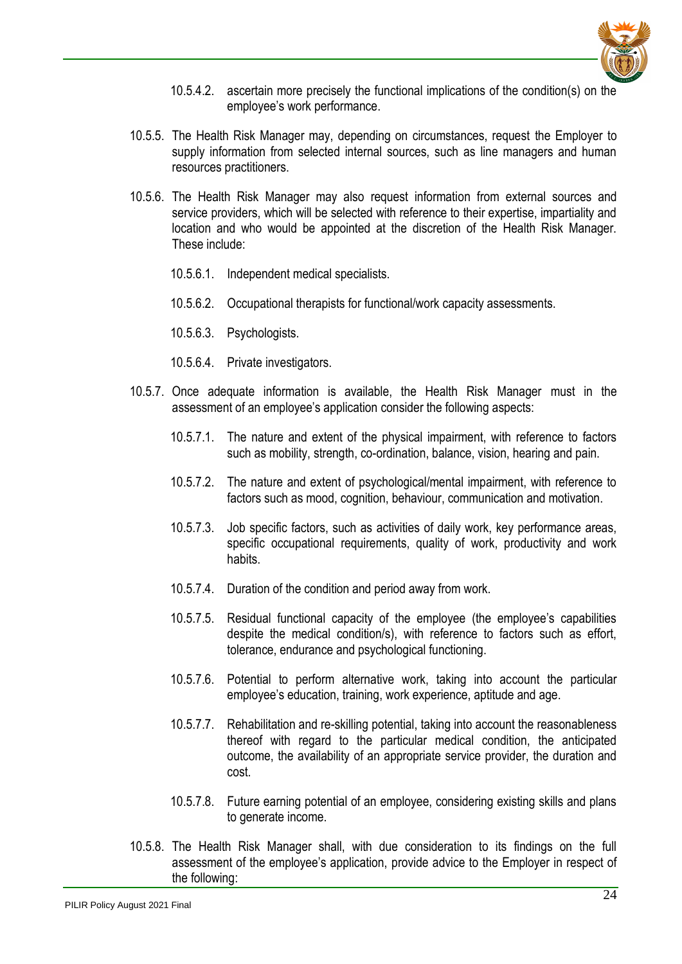

- 10.5.4.2. ascertain more precisely the functional implications of the condition(s) on the employee's work performance.
- 10.5.5. The Health Risk Manager may, depending on circumstances, request the Employer to supply information from selected internal sources, such as line managers and human resources practitioners.
- 10.5.6. The Health Risk Manager may also request information from external sources and service providers, which will be selected with reference to their expertise, impartiality and location and who would be appointed at the discretion of the Health Risk Manager. These include:
	- 10.5.6.1. Independent medical specialists.
	- 10.5.6.2. Occupational therapists for functional/work capacity assessments.
	- 10.5.6.3. Psychologists.
	- 10.5.6.4. Private investigators.
- 10.5.7. Once adequate information is available, the Health Risk Manager must in the assessment of an employee's application consider the following aspects:
	- 10.5.7.1. The nature and extent of the physical impairment, with reference to factors such as mobility, strength, co-ordination, balance, vision, hearing and pain.
	- 10.5.7.2. The nature and extent of psychological/mental impairment, with reference to factors such as mood, cognition, behaviour, communication and motivation.
	- 10.5.7.3. Job specific factors, such as activities of daily work, key performance areas, specific occupational requirements, quality of work, productivity and work habits.
	- 10.5.7.4. Duration of the condition and period away from work.
	- 10.5.7.5. Residual functional capacity of the employee (the employee's capabilities despite the medical condition/s), with reference to factors such as effort, tolerance, endurance and psychological functioning.
	- 10.5.7.6. Potential to perform alternative work, taking into account the particular employee's education, training, work experience, aptitude and age.
	- 10.5.7.7. Rehabilitation and re-skilling potential, taking into account the reasonableness thereof with regard to the particular medical condition, the anticipated outcome, the availability of an appropriate service provider, the duration and cost.
	- 10.5.7.8. Future earning potential of an employee, considering existing skills and plans to generate income.
- 10.5.8. The Health Risk Manager shall, with due consideration to its findings on the full assessment of the employee's application, provide advice to the Employer in respect of the following: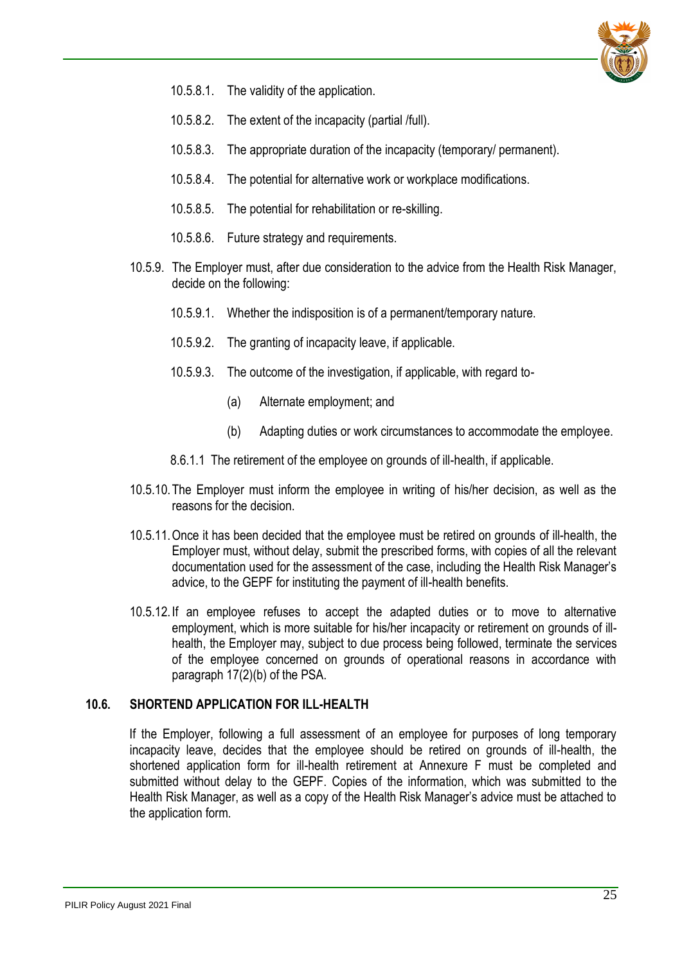

- 10.5.8.1. The validity of the application.
- 10.5.8.2. The extent of the incapacity (partial /full).
- 10.5.8.3. The appropriate duration of the incapacity (temporary/ permanent).
- 10.5.8.4. The potential for alternative work or workplace modifications.
- 10.5.8.5. The potential for rehabilitation or re-skilling.
- 10.5.8.6. Future strategy and requirements.
- 10.5.9. The Employer must, after due consideration to the advice from the Health Risk Manager, decide on the following:
	- 10.5.9.1. Whether the indisposition is of a permanent/temporary nature.
	- 10.5.9.2. The granting of incapacity leave, if applicable.
	- 10.5.9.3. The outcome of the investigation, if applicable, with regard to-
		- (a) Alternate employment; and
		- (b) Adapting duties or work circumstances to accommodate the employee.
	- 8.6.1.1 The retirement of the employee on grounds of ill-health, if applicable.
- 10.5.10.The Employer must inform the employee in writing of his/her decision, as well as the reasons for the decision.
- 10.5.11.Once it has been decided that the employee must be retired on grounds of ill-health, the Employer must, without delay, submit the prescribed forms, with copies of all the relevant documentation used for the assessment of the case, including the Health Risk Manager's advice, to the GEPF for instituting the payment of ill-health benefits.
- 10.5.12. If an employee refuses to accept the adapted duties or to move to alternative employment, which is more suitable for his/her incapacity or retirement on grounds of illhealth, the Employer may, subject to due process being followed, terminate the services of the employee concerned on grounds of operational reasons in accordance with paragraph 17(2)(b) of the PSA.

#### <span id="page-24-0"></span>**10.6. SHORTEND APPLICATION FOR ILL-HEALTH**

If the Employer, following a full assessment of an employee for purposes of long temporary incapacity leave, decides that the employee should be retired on grounds of ill-health, the shortened application form for ill-health retirement at Annexure F must be completed and submitted without delay to the GEPF. Copies of the information, which was submitted to the Health Risk Manager, as well as a copy of the Health Risk Manager's advice must be attached to the application form.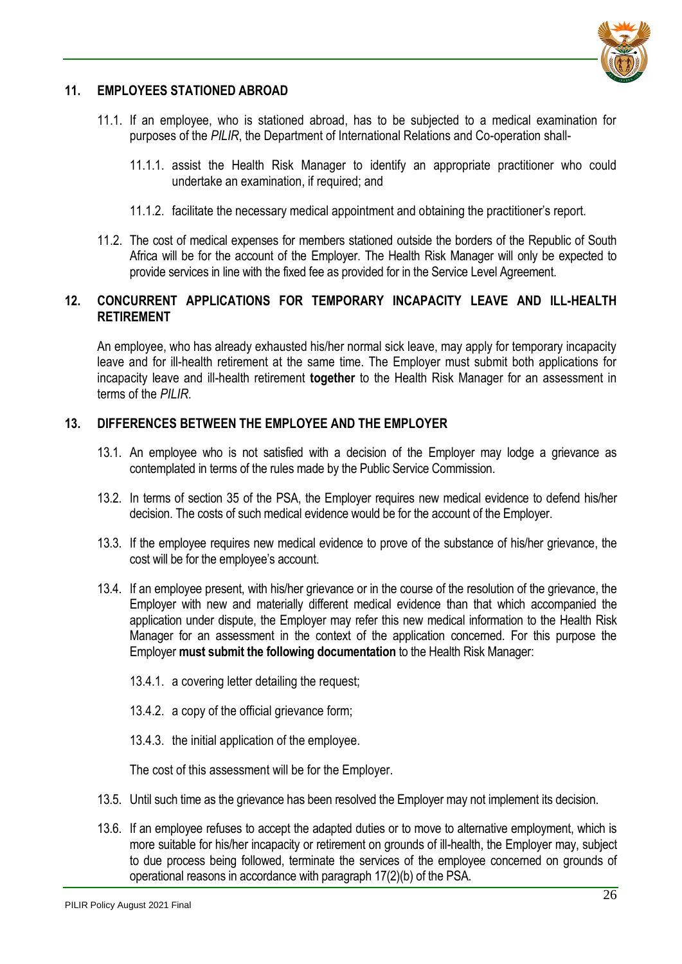

## <span id="page-25-0"></span>**11. EMPLOYEES STATIONED ABROAD**

- 11.1. If an employee, who is stationed abroad, has to be subjected to a medical examination for purposes of the *PILIR*, the Department of International Relations and Co-operation shall-
	- 11.1.1. assist the Health Risk Manager to identify an appropriate practitioner who could undertake an examination, if required; and
	- 11.1.2. facilitate the necessary medical appointment and obtaining the practitioner's report.
- 11.2. The cost of medical expenses for members stationed outside the borders of the Republic of South Africa will be for the account of the Employer. The Health Risk Manager will only be expected to provide services in line with the fixed fee as provided for in the Service Level Agreement.

## <span id="page-25-1"></span>**12. CONCURRENT APPLICATIONS FOR TEMPORARY INCAPACITY LEAVE AND ILL-HEALTH RETIREMENT**

An employee, who has already exhausted his/her normal sick leave, may apply for temporary incapacity leave and for ill-health retirement at the same time. The Employer must submit both applications for incapacity leave and ill-health retirement **together** to the Health Risk Manager for an assessment in terms of the *PILIR*.

## <span id="page-25-2"></span>**13. DIFFERENCES BETWEEN THE EMPLOYEE AND THE EMPLOYER**

- 13.1. An employee who is not satisfied with a decision of the Employer may lodge a grievance as contemplated in terms of the rules made by the Public Service Commission.
- 13.2. In terms of section 35 of the PSA, the Employer requires new medical evidence to defend his/her decision. The costs of such medical evidence would be for the account of the Employer.
- 13.3. If the employee requires new medical evidence to prove of the substance of his/her grievance, the cost will be for the employee's account.
- 13.4. If an employee present, with his/her grievance or in the course of the resolution of the grievance, the Employer with new and materially different medical evidence than that which accompanied the application under dispute, the Employer may refer this new medical information to the Health Risk Manager for an assessment in the context of the application concerned. For this purpose the Employer **must submit the following documentation** to the Health Risk Manager:
	- 13.4.1. a covering letter detailing the request;
	- 13.4.2. a copy of the official grievance form;
	- 13.4.3. the initial application of the employee.

The cost of this assessment will be for the Employer.

- 13.5. Until such time as the grievance has been resolved the Employer may not implement its decision.
- 13.6. If an employee refuses to accept the adapted duties or to move to alternative employment, which is more suitable for his/her incapacity or retirement on grounds of ill-health, the Employer may, subject to due process being followed, terminate the services of the employee concerned on grounds of operational reasons in accordance with paragraph 17(2)(b) of the PSA.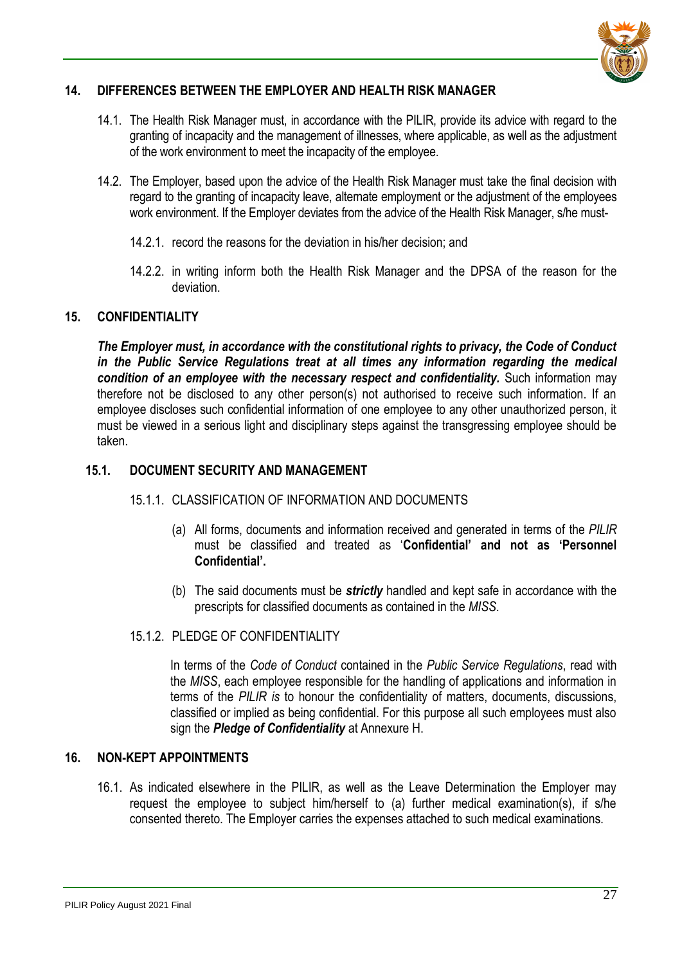

## <span id="page-26-0"></span>**14. DIFFERENCES BETWEEN THE EMPLOYER AND HEALTH RISK MANAGER**

- 14.1. The Health Risk Manager must, in accordance with the PILIR, provide its advice with regard to the granting of incapacity and the management of illnesses, where applicable, as well as the adjustment of the work environment to meet the incapacity of the employee.
- 14.2. The Employer, based upon the advice of the Health Risk Manager must take the final decision with regard to the granting of incapacity leave, alternate employment or the adjustment of the employees work environment. If the Employer deviates from the advice of the Health Risk Manager, s/he must-
	- 14.2.1. record the reasons for the deviation in his/her decision; and
	- 14.2.2. in writing inform both the Health Risk Manager and the DPSA of the reason for the deviation.

#### <span id="page-26-1"></span>**15. CONFIDENTIALITY**

*The Employer must, in accordance with the constitutional rights to privacy, the Code of Conduct in the Public Service Regulations treat at all times any information regarding the medical condition of an employee with the necessary respect and confidentiality.* Such information may therefore not be disclosed to any other person(s) not authorised to receive such information. If an employee discloses such confidential information of one employee to any other unauthorized person, it must be viewed in a serious light and disciplinary steps against the transgressing employee should be taken.

## <span id="page-26-2"></span>**15.1. DOCUMENT SECURITY AND MANAGEMENT**

#### 15.1.1. CLASSIFICATION OF INFORMATION AND DOCUMENTS

- (a) All forms, documents and information received and generated in terms of the *PILIR*  must be classified and treated as '**Confidential' and not as 'Personnel Confidential'.**
- (b) The said documents must be *strictly* handled and kept safe in accordance with the prescripts for classified documents as contained in the *MISS*.
- 15.1.2. PLEDGE OF CONFIDENTIALITY

In terms of the *Code of Conduct* contained in the *Public Service Regulations*, read with the *MISS*, each employee responsible for the handling of applications and information in terms of the *PILIR is* to honour the confidentiality of matters, documents, discussions, classified or implied as being confidential. For this purpose all such employees must also sign the *Pledge of Confidentiality* at Annexure H.

#### <span id="page-26-3"></span>**16. NON-KEPT APPOINTMENTS**

16.1. As indicated elsewhere in the PILIR, as well as the Leave Determination the Employer may request the employee to subject him/herself to (a) further medical examination(s), if s/he consented thereto. The Employer carries the expenses attached to such medical examinations.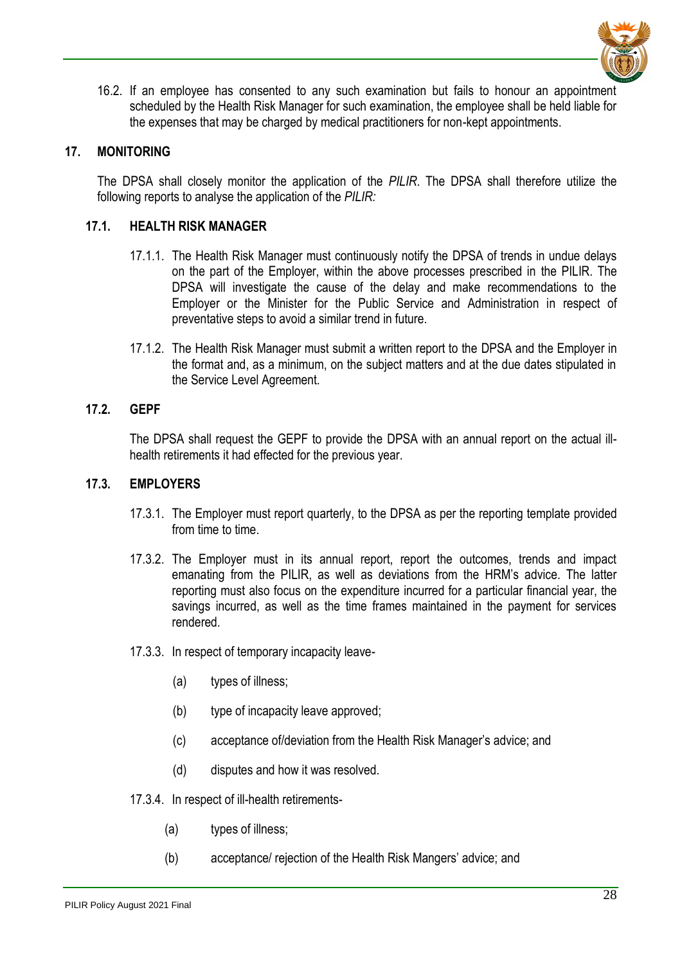

16.2. If an employee has consented to any such examination but fails to honour an appointment scheduled by the Health Risk Manager for such examination, the employee shall be held liable for the expenses that may be charged by medical practitioners for non-kept appointments.

#### <span id="page-27-0"></span>**17. MONITORING**

The DPSA shall closely monitor the application of the *PILIR*. The DPSA shall therefore utilize the following reports to analyse the application of the *PILIR:* 

#### <span id="page-27-1"></span>**17.1. HEALTH RISK MANAGER**

- 17.1.1. The Health Risk Manager must continuously notify the DPSA of trends in undue delays on the part of the Employer, within the above processes prescribed in the PILIR. The DPSA will investigate the cause of the delay and make recommendations to the Employer or the Minister for the Public Service and Administration in respect of preventative steps to avoid a similar trend in future.
- 17.1.2. The Health Risk Manager must submit a written report to the DPSA and the Employer in the format and, as a minimum, on the subject matters and at the due dates stipulated in the Service Level Agreement.

#### <span id="page-27-2"></span>**17.2. GEPF**

The DPSA shall request the GEPF to provide the DPSA with an annual report on the actual illhealth retirements it had effected for the previous year.

#### <span id="page-27-3"></span>**17.3. EMPLOYERS**

- 17.3.1. The Employer must report quarterly, to the DPSA as per the reporting template provided from time to time.
- 17.3.2. The Employer must in its annual report, report the outcomes, trends and impact emanating from the PILIR, as well as deviations from the HRM's advice. The latter reporting must also focus on the expenditure incurred for a particular financial year, the savings incurred, as well as the time frames maintained in the payment for services rendered.
- 17.3.3. In respect of temporary incapacity leave-
	- (a) types of illness;
	- (b) type of incapacity leave approved;
	- (c) acceptance of/deviation from the Health Risk Manager's advice; and
	- (d) disputes and how it was resolved.
- 17.3.4. In respect of ill-health retirements-
	- (a) types of illness;
	- (b) acceptance/ rejection of the Health Risk Mangers' advice; and